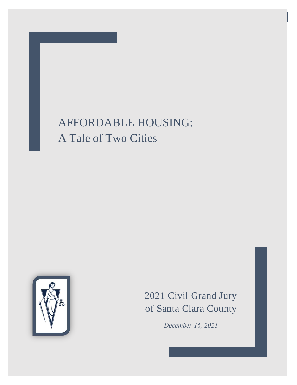# AFFORDABLE HOUSING: A Tale of Two Cities



2021 Civil Grand Jury of Santa Clara County

*December 16, 2021*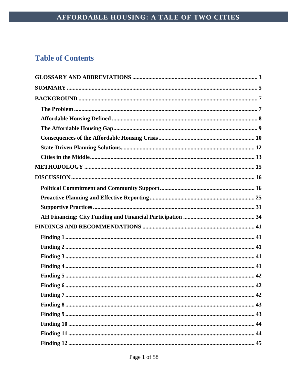# **Table of Contents**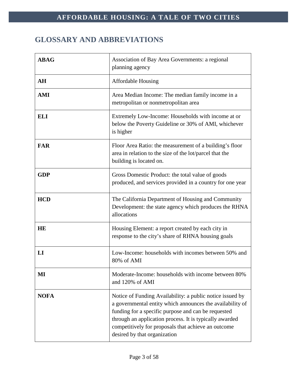# <span id="page-3-0"></span>**GLOSSARY AND ABBREVIATIONS**

| <b>ABAG</b> | Association of Bay Area Governments: a regional<br>planning agency                                                                                                                                                                                                                                                              |  |  |
|-------------|---------------------------------------------------------------------------------------------------------------------------------------------------------------------------------------------------------------------------------------------------------------------------------------------------------------------------------|--|--|
| AH          | <b>Affordable Housing</b>                                                                                                                                                                                                                                                                                                       |  |  |
| <b>AMI</b>  | Area Median Income: The median family income in a<br>metropolitan or nonmetropolitan area                                                                                                                                                                                                                                       |  |  |
| <b>ELI</b>  | Extremely Low-Income: Households with income at or<br>below the Poverty Guideline or 30% of AMI, whichever<br>is higher                                                                                                                                                                                                         |  |  |
| <b>FAR</b>  | Floor Area Ratio: the measurement of a building's floor<br>area in relation to the size of the lot/parcel that the<br>building is located on.                                                                                                                                                                                   |  |  |
| <b>GDP</b>  | Gross Domestic Product: the total value of goods<br>produced, and services provided in a country for one year                                                                                                                                                                                                                   |  |  |
| <b>HCD</b>  | The California Department of Housing and Community<br>Development: the state agency which produces the RHNA<br>allocations                                                                                                                                                                                                      |  |  |
| <b>HE</b>   | Housing Element: a report created by each city in<br>response to the city's share of RHNA housing goals                                                                                                                                                                                                                         |  |  |
| LI          | Low-Income: households with incomes between 50% and<br>80% of AMI                                                                                                                                                                                                                                                               |  |  |
| MI          | Moderate-Income: households with income between 80%<br>and 120% of AMI                                                                                                                                                                                                                                                          |  |  |
| <b>NOFA</b> | Notice of Funding Availability: a public notice issued by<br>a governmental entity which announces the availability of<br>funding for a specific purpose and can be requested<br>through an application process. It is typically awarded<br>competitively for proposals that achieve an outcome<br>desired by that organization |  |  |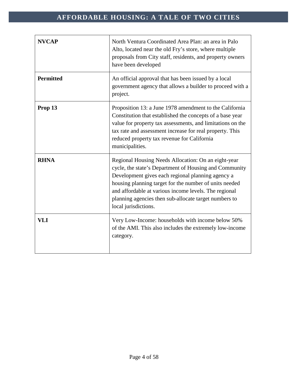| <b>NVCAP</b>     | North Ventura Coordinated Area Plan: an area in Palo<br>Alto, located near the old Fry's store, where multiple<br>proposals from City staff, residents, and property owners<br>have been developed                                                                                                                                                                     |  |  |
|------------------|------------------------------------------------------------------------------------------------------------------------------------------------------------------------------------------------------------------------------------------------------------------------------------------------------------------------------------------------------------------------|--|--|
| <b>Permitted</b> | An official approval that has been issued by a local<br>government agency that allows a builder to proceed with a<br>project.                                                                                                                                                                                                                                          |  |  |
| Prop 13          | Proposition 13: a June 1978 amendment to the California<br>Constitution that established the concepts of a base year<br>value for property tax assessments, and limitations on the<br>tax rate and assessment increase for real property. This<br>reduced property tax revenue for California<br>municipalities.                                                       |  |  |
| <b>RHNA</b>      | Regional Housing Needs Allocation: On an eight-year<br>cycle, the state's Department of Housing and Community<br>Development gives each regional planning agency a<br>housing planning target for the number of units needed<br>and affordable at various income levels. The regional<br>planning agencies then sub-allocate target numbers to<br>local jurisdictions. |  |  |
| <b>VLI</b>       | Very Low-Income: households with income below 50%<br>of the AMI. This also includes the extremely low-income<br>category.                                                                                                                                                                                                                                              |  |  |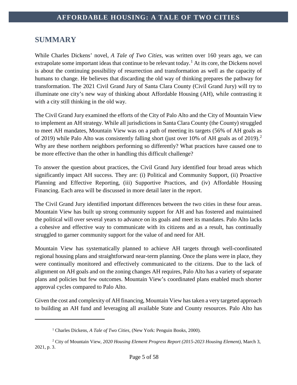# <span id="page-5-0"></span>**SUMMARY**

 $\overline{a}$ 

While Charles Dickens' novel, *A Tale of Two Cities*, was written over 160 years ago, we can extrapolate some important ideas that continue to be relevant today.<sup>[1](#page-5-1)</sup> At its core, the Dickens novel is about the continuing possibility of resurrection and transformation as well as the capacity of humans to change. He believes that discarding the old way of thinking prepares the pathway for transformation. The 2021 Civil Grand Jury of Santa Clara County (Civil Grand Jury) will try to illuminate one city's new way of thinking about Affordable Housing (AH), while contrasting it with a city still thinking in the old way.

The Civil Grand Jury examined the efforts of the City of Palo Alto and the City of Mountain View to implement an AH strategy. While all jurisdictions in Santa Clara County (the County) struggled to meet AH mandates, Mountain View was on a path of meeting its targets (56% of AH goals as of [2](#page-5-2)019) while Palo Alto was consistently falling short (just over 10% of AH goals as of 2019).<sup>2</sup> Why are these northern neighbors performing so differently? What practices have caused one to be more effective than the other in handling this difficult challenge?

To answer the question about practices, the Civil Grand Jury identified four broad areas which significantly impact AH success. They are: (i) Political and Community Support, (ii) Proactive Planning and Effective Reporting, (iii) Supportive Practices, and (iv) Affordable Housing Financing. Each area will be discussed in more detail later in the report.

The Civil Grand Jury identified important differences between the two cities in these four areas. Mountain View has built up strong community support for AH and has fostered and maintained the political will over several years to advance on its goals and meet its mandates. Palo Alto lacks a cohesive and effective way to communicate with its citizens and as a result, has continually struggled to garner community support for the value of and need for AH.

Mountain View has systematically planned to achieve AH targets through well-coordinated regional housing plans and straightforward near-term planning. Once the plans were in place, they were continually monitored and effectively communicated to the citizens. Due to the lack of alignment on AH goals and on the zoning changes AH requires, Palo Alto has a variety of separate plans and policies but few outcomes. Mountain View's coordinated plans enabled much shorter approval cycles compared to Palo Alto.

Given the cost and complexity of AH financing, Mountain View has taken a very targeted approach to building an AH fund and leveraging all available State and County resources. Palo Alto has

<sup>&</sup>lt;sup>1</sup> Charles Dickens, *A Tale of Two Cities*, (New York: Penguin Books, 2000).

<span id="page-5-2"></span><span id="page-5-1"></span><sup>2</sup> City of Mountain View, *2020 Housing Element Progress Report (2015-2023 Housing Element)*, March 3, 2021, p. 3.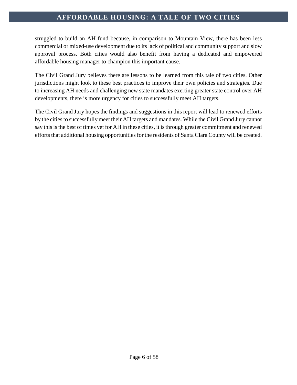struggled to build an AH fund because, in comparison to Mountain View, there has been less commercial or mixed-use development due to its lack of political and community support and slow approval process. Both cities would also benefit from having a dedicated and empowered affordable housing manager to champion this important cause.

The Civil Grand Jury believes there are lessons to be learned from this tale of two cities. Other jurisdictions might look to these best practices to improve their own policies and strategies. Due to increasing AH needs and challenging new state mandates exerting greater state control over AH developments, there is more urgency for cities to successfully meet AH targets.

The Civil Grand Jury hopes the findings and suggestions in this report will lead to renewed efforts by the cities to successfully meet their AH targets and mandates. While the Civil Grand Jury cannot say this is the best of times yet for AH in these cities, it is through greater commitment and renewed efforts that additional housing opportunities for the residents of Santa Clara County will be created.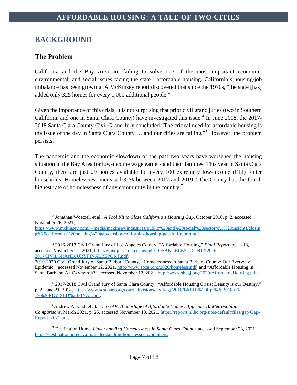# <span id="page-7-0"></span>**BACKGROUND**

# <span id="page-7-1"></span>**The Problem**

 $\overline{a}$ 

California and the Bay Area are failing to solve one of the most important economic, environmental, and social issues facing the state—affordable housing. California's housing/job imbalance has been growing. A McKinsey report discovered that since the 1970s, "the state [has] added only 325 homes for every 1,000 additional people."[3](#page-7-2)

Given the importance of this crisis, it is not surprising that prior civil grand juries (two in Southern California and one in Santa Clara County) have investigated this issue.<sup>[4](#page-7-3)</sup> In June 2018, the 2017-2018 Santa Clara County Civil Grand Jury concluded "The critical need for affordable housing is the issue of the day in Santa Clara County … and our cities are failing."[5](#page-7-4) However, the problem persists.

The pandemic and the economic slowdown of the past two years have worsened the housing situation in the Bay Area for low-income wage earners and their families. This year in Santa Clara County, there are just 29 homes available for every 100 extremely low-income (ELI) renter households. Homelessness increased 31% between 2017 and 2019.<sup>[6](#page-7-5)</sup> The County has the fourth highest rate of homelessness of any community in the country.<sup>[7](#page-7-6)</sup>

<span id="page-7-4"></span><sup>5</sup> 2017-2018 Civil Grand Jury of Santa Clara County, "Affordable Housing Crisis: Density is our Destiny," p. 2, June 21, 2018, [https://www.scscourt.org/court\\_divisions/civil/cgj/2018/BMRH%20Rpt%202018-06-](https://www.scscourt.org/court_divisions/civil/cgj/2018/BMRH%20Rpt%202018-06-19%20REVISED%20FINAL.pdf) [19%20REVISED%20FINAL.pdf.](https://www.scscourt.org/court_divisions/civil/cgj/2018/BMRH%20Rpt%202018-06-19%20REVISED%20FINAL.pdf)

<span id="page-7-5"></span>6 Andrew Aurand, et al., *The GAP: A Shortage of Affordable Homes: Appendix B: Metropolitan Comparisons*, March 2021, p. 25, accessed November 13, 2021, [https://reports.nlihc.org/sites/default/files/gap/Gap-](https://reports.nlihc.org/sites/default/files/gap/Gap-Report_2021.pdf)[Report\\_2021.pdf.](https://reports.nlihc.org/sites/default/files/gap/Gap-Report_2021.pdf)

<span id="page-7-6"></span><sup>7</sup> Destination Home, *Understanding Homelessness in Santa Clara County,* accessed September 28, 2021, [https://destinationhomesv.org/understanding-homelessness/numbers/.](https://destinationhomesv.org/understanding-homelessness/numbers/)

<span id="page-7-2"></span><sup>3</sup> Jonathan Woetzel, et al., *A Tool Kit to Close California's Housing Gap*, October 2016, p. 2, accessed November 26, 2021,

[https://www.mckinsey.com/~/media/mckinsey/industries/public%20and%20social%20sector/our%20insights/closin](https://www.mckinsey.com/%7E/media/mckinsey/industries/public%20and%20social%20sector/our%20insights/closing%20californias%20housing%20gap/closing-californias-housing-gap-full-report.pdf) [g%20californias%20housing%20gap/closing-californias-housing-gap-full-report.pdf.](https://www.mckinsey.com/%7E/media/mckinsey/industries/public%20and%20social%20sector/our%20insights/closing%20californias%20housing%20gap/closing-californias-housing-gap-full-report.pdf)

<span id="page-7-3"></span><sup>4</sup> 2016-2017 Civil Grand Jury of Los Angeles County, "Affordable Housing," *Final Report,* pp. 1-18, accessed November 12, 2021, [http://grandjury.co.la.ca.us/pdf/LOSANGELESCOUNTY2016-](http://grandjury.co.la.ca.us/pdf/LOSANGELESCOUNTY2016-2017CIVILGRANDJURYFINALREPORT.pdf) [2017CIVILGRANDJURYFINALREPORT.pdf;](http://grandjury.co.la.ca.us/pdf/LOSANGELESCOUNTY2016-2017CIVILGRANDJURYFINALREPORT.pdf)

<sup>2019-2020</sup> Civil Grand Jury of Santa Barbara County, "Homelessness in Santa Barbara County: Our Everyday Epidemic," accessed November 12, 2021, [http://www.sbcgj.org/2020/homeless.pdf,](http://www.sbcgj.org/2020/homeless.pdf) and "Affordable Housing in Santa Barbara: An Oxymoron?" accessed November 12, 2021, [http://www.sbcgj.org/2020/AffordableHousing.pdf.](http://www.sbcgj.org/2020/AffordableHousing.pdf)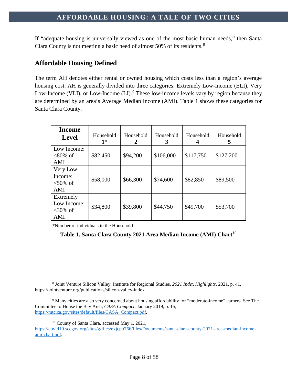If "adequate housing is universally viewed as one of the most basic human needs," then Santa Clara County is not meeting a basic need of almost 50% of its residents.<sup>[8](#page-8-1)</sup>

### <span id="page-8-0"></span>**Affordable Housing Defined**

The term AH denotes either rental or owned housing which costs less than a region's average housing cost. AH is generally divided into three categories: Extremely Low-Income (ELI), Very Low-Income (VLI), or Low-Income (LI).<sup>[9](#page-8-2)</sup> These low-income levels vary by region because they are determined by an area's Average Median Income (AMI). Table 1 shows these categories for Santa Clara County.

| <b>Income</b><br><b>Level</b>                 | Household<br>$1*$ | Household<br>2 | Household<br>3 | Household | Household<br>5 |
|-----------------------------------------------|-------------------|----------------|----------------|-----------|----------------|
| Low Income:<br>$<80\%$ of<br>AMI              | \$82,450          | \$94,200       | \$106,000      | \$117,750 | \$127,200      |
| Very Low<br>Income:<br>$<50\%$ of<br>AMI      | \$58,000          | \$66,300       | \$74,600       | \$82,850  | \$89,500       |
| Extremely<br>Low Income:<br>$<30\%$ of<br>AMI | \$34,800          | \$39,800       | \$44,750       | \$49,700  | \$53,700       |

\*Number of individuals in the Household

 $\overline{a}$ 

### **Table 1. Santa Clara County 2021 Area Median Income (AMI) Chart**[10](#page-8-3)

<sup>10</sup> County of Santa Clara, accessed May 1, 2021,

<span id="page-8-1"></span><sup>8</sup> Joint Venture Silicon Valley, Institute for Regional Studies, *2021 Index Highlights*, 2021, p. 41, https://jointventure.org/publications/silicon-valley-index

<span id="page-8-2"></span><sup>9</sup> Many cities are also very concerned about housing affordability for "moderate-income" earners. See The Committee to House the Bay Area, *CASA Compact*, January 2019, p. 15, [https://mtc.ca.gov/sites/default/files/CASA\\_Compact.pdf.](https://mtc.ca.gov/sites/default/files/CASA_Compact.pdf)

<span id="page-8-3"></span>[https://covid19.sccgov.org/sites/g/files/exjcpb766/files/Documents/santa-clara-county-2021-area-median-income](https://covid19.sccgov.org/sites/g/files/exjcpb766/files/Documents/santa-clara-county-2021-area-median-income-ami-chart.pdf)[ami-chart.pdf.](https://covid19.sccgov.org/sites/g/files/exjcpb766/files/Documents/santa-clara-county-2021-area-median-income-ami-chart.pdf)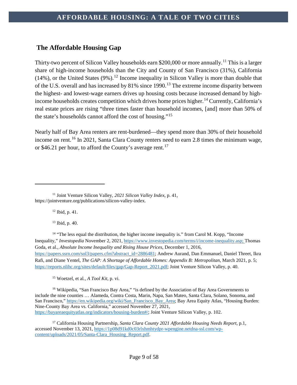# <span id="page-9-0"></span>**The Affordable Housing Gap**

Thirty-two percent of Silicon Valley households earn \$200,000 or more annually.<sup>[11](#page-9-1)</sup> This is a larger share of high-income households than the City and County of San Francisco (31%), California  $(14\%)$ , or the United States  $(9\%)$ .<sup>[12](#page-9-2)</sup> Income inequality in Silicon Valley is more than double that of the U.S. overall and has increased by 81% since 1990.<sup>[13](#page-9-3)</sup> The extreme income disparity between the highest- and lowest-wage earners drives up housing costs because increased demand by high-income households creates competition which drives home prices higher.<sup>[14](#page-9-4)</sup> Currently, California's real estate prices are rising "three times faster than household incomes, [and] more than 50% of the state's households cannot afford the cost of housing."[15](#page-9-5)

Nearly half of Bay Area renters are rent-burdened—they spend more than 30% of their household income on rent.<sup>[16](#page-9-6)</sup> In 2021, Santa Clara County renters need to earn 2.8 times the minimum wage, or \$46.21 per hour, to afford the County's average rent.<sup>[17](#page-9-7)</sup>

<sup>12</sup> Ibid, p. 41.

 $\overline{a}$ 

<sup>13</sup> Ibid, p. 40.

<span id="page-9-4"></span><span id="page-9-3"></span><sup>14</sup> "The less equal the distribution, the higher income inequality is." from Carol M. Kopp, "Income Inequality," *Investopedia* November 2, 2021, [https://www.investopedia.com/terms/i/income-inequality.asp;](https://www.investopedia.com/terms/i/income-inequality.asp) Thomas Goda, et al., *Absolute Income Inequality and Rising House Prices*, December 1, 2016, [https://papers.ssrn.com/sol3/papers.cfm?abstract\\_id=2886481;](https://papers.ssrn.com/sol3/papers.cfm?abstract_id=2886481) Andrew Aurand, Dan Emmanuel, Daniel Threet, Ikra Rafi, and Diane Yentel, *The GAP: A Shortage of Affordable Homes: Appendix B: Metropolitan*, March 2021, p. 5; [https://reports.nlihc.org/sites/default/files/gap/Gap-Report\\_2021.pdf;](https://reports.nlihc.org/sites/default/files/gap/Gap-Report_2021.pdf) Joint Venture Silicon Valley, p. 40.

<sup>15</sup> Woetzel, et al*., A Tool Kit*, p. vi.

<span id="page-9-6"></span><span id="page-9-5"></span><sup>16</sup> Wikipedia, "San Francisco Bay Area," "is defined by the Association of Bay Area Governments to include the nine counties … Alameda, Contra Costa, Marin, Napa, San Mateo, Santa Clara, Solano, Sonoma, and San Francisco," [https://en.wikipedia.org/wiki/San\\_Francisco\\_Bay\\_Area;](https://en.wikipedia.org/wiki/San_Francisco_Bay_Area) Bay Area Equity Atlas, "Housing Burden: Nine-County Bay Area vs. California," accessed November 27, 2021, [https://bayareaequityatlas.org/indicators/housing-burden#/;](https://bayareaequityatlas.org/indicators/housing-burden#/) Joint Venture Silicon Valley, p. 102.

<span id="page-9-7"></span><sup>17</sup> California Housing Partnership, *Santa Clara County 2021 Affordable Housing Needs Report*, p.1, accessed November 13, 2021, [https://1p08d91kd0c03rlxhmhtydpr-wpengine.netdna-ssl.com/wp](https://1p08d91kd0c03rlxhmhtydpr-wpengine.netdna-ssl.com/wp-content/uploads/2021/05/Santa-Clara_Housing_Report.pdf)[content/uploads/2021/05/Santa-Clara\\_Housing\\_Report.pdf.](https://1p08d91kd0c03rlxhmhtydpr-wpengine.netdna-ssl.com/wp-content/uploads/2021/05/Santa-Clara_Housing_Report.pdf)

<span id="page-9-2"></span><span id="page-9-1"></span><sup>11</sup> Joint Venture Silicon Valley, *2021 Silicon Valley Index*, p. 41, https://jointventure.org/publications/silicon-valley-index.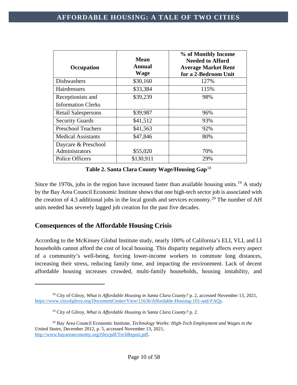| Occupation                                     | Mean<br>Annual<br>Wage | % of Monthly Income<br><b>Needed to Afford</b><br><b>Average Market Rent</b><br>for a 2-Bedroom Unit |
|------------------------------------------------|------------------------|------------------------------------------------------------------------------------------------------|
| <b>Dishwashers</b>                             | \$30,160               | 127%                                                                                                 |
| Hairdressers                                   | \$33,384               | 115%                                                                                                 |
| Receptionists and<br><b>Information Clerks</b> | \$39,239               | 98%                                                                                                  |
| <b>Retail Salespersons</b>                     | \$39,987               | 96%                                                                                                  |
| <b>Security Guards</b>                         | \$41,512               | 93%                                                                                                  |
| <b>Preschool Teachers</b>                      | \$41,563               | 92%                                                                                                  |
| <b>Medical Assistants</b>                      | \$47,846               | 80%                                                                                                  |
| Daycare & Preschool                            |                        |                                                                                                      |
| Administrators                                 | \$55,020               | 70%                                                                                                  |
| <b>Police Officers</b>                         | \$130,911              | 29%                                                                                                  |

**Table 2. Santa Clara County Wage/Housing Gap**[18](#page-10-1)

Since the [19](#page-10-2)70s, jobs in the region have increased faster than available housing units.<sup>19</sup> A study by the Bay Area Council Economic Institute shows that one high-tech sector job is associated with the creation of 4.3 additional jobs in the local goods and services economy.<sup>[20](#page-10-3)</sup> The number of AH units needed has severely lagged job creation for the past five decades.

# <span id="page-10-0"></span>**Consequences of the Affordable Housing Crisis**

 $\overline{a}$ 

According to the McKinsey Global Institute study, nearly 100% of California's ELI, VLI, and LI households cannot afford the cost of local housing. This disparity negatively affects every aspect of a community's well-being, forcing lower-income workers to commute long distances, increasing their stress, reducing family time, and impacting the environment. Lack of decent affordable housing increases crowded, multi-family households, housing instability, and

<span id="page-10-1"></span><sup>18</sup> City of Gilroy, *What is Affordable Housing in Santa Clara County?* p. 2, accessed November 13, 2021, [https://www.cityofgilroy.org/DocumentCenter/View/11636/Affordable-Housing-101-and-FAQs.](https://www.cityofgilroy.org/DocumentCenter/View/11636/Affordable-Housing-101-and-FAQs) 

<sup>19</sup> City of Gilroy, *What is Affordable Housing in Santa Clara County?* p. 2.

<span id="page-10-3"></span><span id="page-10-2"></span><sup>20</sup> Bay Area Council Economic Institute, *Technology Works: High-Tech Employment and Wages in the United States*, December 2012, p. 5, accessed November 13, 2021, [http://www.bayareaeconomy.org/files/pdf/TechReport.pdf.](http://www.bayareaeconomy.org/files/pdf/TechReport.pdf)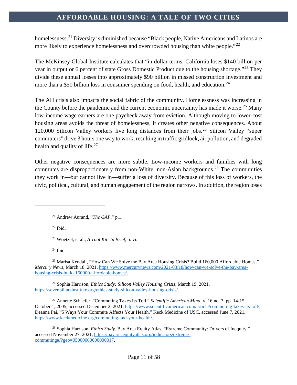homelessness.<sup>[21](#page-11-0)</sup> Diversity is diminished because "Black people, Native Americans and Latinos are more likely to experience homelessness and overcrowded housing than white people.<sup>"[22](#page-11-1)</sup>

The McKinsey Global Institute calculates that "in dollar terms, California loses \$140 billion per year in output or 6 percent of state Gross Domestic Product due to the housing shortage."[23](#page-11-2) They divide these annual losses into approximately \$90 billion in missed construction investment and more than a \$50 billion loss in consumer spending on food, health, and education.<sup>[24](#page-11-3)</sup>

The AH crisis also impacts the social fabric of the community. Homelessness was increasing in the County before the pandemic and the current economic uncertainty has made it worse.<sup>[25](#page-11-4)</sup> Many low-income wage earners are one paycheck away from eviction. Although moving to lower-cost housing areas avoids the threat of homelessness, it creates other negative consequences. About 120,000 Silicon Valley workers live long distances from their jobs.<sup>[26](#page-11-5)</sup> Silicon Valley "super commuters" drive 3 hours one way to work, resulting in traffic gridlock, air pollution, and degraded health and quality of life.<sup>[27](#page-11-6)</sup>

Other negative consequences are more subtle. Low-income workers and families with long commutes are disproportionately from non-White, non-Asian backgrounds.<sup>[28](#page-11-7)</sup> The communities they work in—but cannot live in—suffer a loss of diversity. Because of this loss of workers, the civic, political, cultural, and human engagement of the region narrows. In addition, the region loses

 $22$  Ibid.

<span id="page-11-1"></span><span id="page-11-0"></span> $\overline{a}$ 

<sup>23</sup> Woetzel, et al., *A Tool Kit: In Brief,* p. vi.

<sup>24</sup> Ibid*.*

<span id="page-11-4"></span><span id="page-11-3"></span><span id="page-11-2"></span><sup>25</sup> Marisa Kendall, "How Can We Solve the Bay Area Housing Crisis? Build 160,000 Affordable Homes," *Mercury News*, March 18, 2021, [https://www.mercurynews.com/2021/03/18/how-can-we-solve-the-bay-area](https://www.mercurynews.com/2021/03/18/how-can-we-solve-the-bay-area-housing-crisis-build-160000-affordable-homes/)[housing-crisis-build-160000-affordable-homes/.](https://www.mercurynews.com/2021/03/18/how-can-we-solve-the-bay-area-housing-crisis-build-160000-affordable-homes/)

<span id="page-11-5"></span><sup>26</sup> Sophia Harrison, *Ethics Study: Silicon Valley Housing Crisis*, March 19, 2021, [https://sevenpillarsinstitute.org/ethics-study-silicon-valley-housing-crisis/.](https://sevenpillarsinstitute.org/ethics-study-silicon-valley-housing-crisis/)

<span id="page-11-6"></span><sup>27</sup> Annette Schaefer, "Commuting Takes Its Toll," *Scientific American Mind*, v. 16 no. 3, pp. 14-15, October 1, 2005, accessed December 2, 2021, [https://www.scientificamerican.com/article/commuting-takes-its-toll/;](https://www.scientificamerican.com/article/commuting-takes-its-toll/) Deanna Pai, "5 Ways Your Commute Affects Your Health," Keck Medicine of USC, accessed June 7, 2021, [https://www.keckmedicine.org/commuting-and-your-health/.](https://www.keckmedicine.org/commuting-and-your-health/)

<span id="page-11-7"></span><sup>28</sup> Sophia Harrison, *Ethics Study.* Bay Area Equity Atlas, "Extreme Community: Drivers of Inequity," accessed November 27, 2021, [https://bayareaequityatlas.org/indicators/extreme](https://bayareaequityatlas.org/indicators/extreme-commuting#/?geo=05000000000000017)[commuting#/?geo=05000000000000017.](https://bayareaequityatlas.org/indicators/extreme-commuting#/?geo=05000000000000017)

<sup>21</sup> Andrew Aurand, "*The GAP,*" p.1.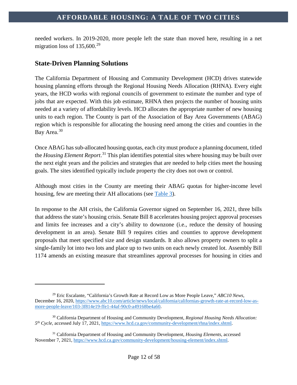needed workers. In 2019-2020, more people left the state than moved here, resulting in a net migration loss of  $135,600.^{29}$  $135,600.^{29}$  $135,600.^{29}$ 

# <span id="page-12-0"></span>**State-Driven Planning Solutions**

 $\overline{a}$ 

The California Department of Housing and Community Development (HCD) drives statewide housing planning efforts through the Regional Housing Needs Allocation (RHNA). Every eight years, the HCD works with regional councils of government to estimate the number and type of jobs that are expected. With this job estimate, RHNA then projects the number of housing units needed at a variety of affordability levels. HCD allocates the appropriate number of new housing units to each region. The County is part of the Association of Bay Area Governments (ABAG) region which is responsible for allocating the housing need among the cities and counties in the Bay Area.<sup>[30](#page-12-2)</sup>

Once ABAG has sub-allocated housing quotas, each city must produce a planning document, titled the *Housing Element Report*. [31](#page-12-3) This plan identifies potential sites where housing may be built over the next eight years and the policies and strategies that are needed to help cities meet the housing goals. The sites identified typically include property the city does not own or control.

Although most cities in the County are meeting their ABAG quotas for higher-income level housing, few are meeting their AH allocations (see [Table 3\)](#page-34-1).

In response to the AH crisis, the California Governor signed on September 16, 2021, three bills that address the state's housing crisis. Senate Bill 8 accelerates housing project approval processes and limits fee increases and a city's ability to downzone (i.e., reduce the density of housing development in an area). Senate Bill 9 requires cities and counties to approve development proposals that meet specified size and design standards. It also allows property owners to split a single-family lot into two lots and place up to two units on each newly created lot. Assembly Bill 1174 amends an existing measure that streamlines approval processes for housing in cities and

<span id="page-12-1"></span><sup>29</sup> Eric Escalante, "California's Growth Rate at Record Low as More People Leave," *ABC10 News*, December 16, 2020[, https://www.abc10.com/article/news/local/california/californias-growth-rate-at-record-low-as](https://www.abc10.com/article/news/local/california/californias-growth-rate-at-record-low-as-more-people-leave/103-3f814e19-ffe1-44af-90c0-a49168be4a60)[more-people-leave/103-3f814e19-ffe1-44af-90c0-a49168be4a60.](https://www.abc10.com/article/news/local/california/californias-growth-rate-at-record-low-as-more-people-leave/103-3f814e19-ffe1-44af-90c0-a49168be4a60)

<span id="page-12-2"></span><sup>30</sup> California Department of Housing and Community Development, *Regional Housing Needs Allocation: 5th Cycle,* accessed July 17, 2021, [https://www.hcd.ca.gov/community-development/rhna/index.shtml.](https://www.hcd.ca.gov/community-development/rhna/index.shtml)

<span id="page-12-3"></span><sup>31</sup> California Department of Housing and Community Development, *Housing Elements*, accessed November 7, 2021[, https://www.hcd.ca.gov/community-development/housing-element/index.shtml.](https://www.hcd.ca.gov/community-development/housing-element/index.shtml)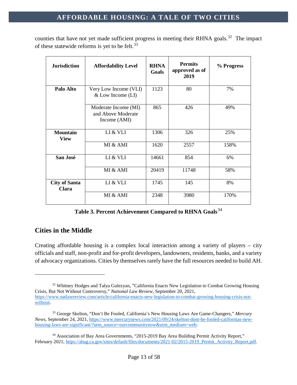counties that have not yet made sufficient progress in meeting their RHNA goals.<sup>[32](#page-13-1)</sup> The impact of these statewide reforms is yet to be felt.<sup>[33](#page-13-2)</sup>

| <b>Jurisdiction</b>            | <b>Affordability Level</b>                                 | <b>RHNA</b><br>Goals | <b>Permits</b><br>approved as of<br>2019 | % Progress |
|--------------------------------|------------------------------------------------------------|----------------------|------------------------------------------|------------|
| Palo Alto                      | Very Low Income (VLI)<br>$&$ Low Income (LI)               | 1123                 | 80                                       | 7%         |
|                                | Moderate Income (MI)<br>and Above Moderate<br>Income (AMI) | 865                  | 426                                      | 49%        |
| <b>Mountain</b><br><b>View</b> | LI & VLI                                                   | 1306                 | 326                                      | 25%        |
|                                | MI & AMI                                                   | 1620                 | 2557                                     | 158%       |
| San José                       | LI & VLI                                                   | 14661                | 854                                      | 6%         |
|                                | MI & AMI                                                   | 20419                | 11748                                    | 58%        |
| <b>City of Santa</b><br>Clara  | LI & VLI                                                   | 1745                 | 145                                      | 8%         |
|                                | MI & AMI                                                   | 2348                 | 3980                                     | 170%       |

**Table 3. Percent Achievement Compared to RHNA Goals**[34](#page-13-3)

# <span id="page-13-0"></span>**Cities in the Middle**

 $\overline{a}$ 

Creating affordable housing is a complex local interaction among a variety of players – city officials and staff, non-profit and for-profit developers, landowners, residents, banks, and a variety of advocacy organizations. Cities by themselves rarely have the full resources needed to build AH.

<span id="page-13-1"></span><sup>&</sup>lt;sup>32</sup> Whitney Hodges and Talya Gulezyan, "California Enacts New Legislation to Combat Growing Housing Crisis, But Not Without Controversy," *National Law Review,* September 20, 2021, [https://www.natlawreview.com/article/california-enacts-new-legislation-to-combat-growing-housing-crisis-not](https://www.natlawreview.com/article/california-enacts-new-legislation-to-combat-growing-housing-crisis-not-without)[without.](https://www.natlawreview.com/article/california-enacts-new-legislation-to-combat-growing-housing-crisis-not-without)

<span id="page-13-2"></span><sup>33</sup> George Skelton, "Don't Be Fooled, California's New Housing Laws Are Game-Changers," *Mercury News*, September 24, 2021, [https://www.mercurynews.com/2021/09/24/skelton-dont-be-fooled-californias-new](https://www.mercurynews.com/2021/09/24/skelton-dont-be-fooled-californias-new-housing-laws-are-significant/?utm_source=ourcommunitynow&utm_medium=web)[housing-laws-are-significant/?utm\\_source=ourcommunitynow&utm\\_medium=web.](https://www.mercurynews.com/2021/09/24/skelton-dont-be-fooled-californias-new-housing-laws-are-significant/?utm_source=ourcommunitynow&utm_medium=web)

<span id="page-13-3"></span><sup>&</sup>lt;sup>34</sup> Association of Bay Area Governments, "2015-2019 Bay Area Building Permit Activity Report," February 2021, https://abag.ca.gov/sites/default/files/documents/2021-02/2015-2019 Permit\_Activity\_Report.pdf.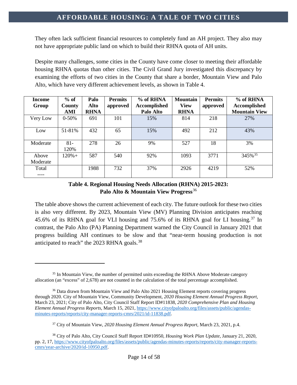They often lack sufficient financial resources to completely fund an AH project. They also may not have appropriate public land on which to build their RHNA quota of AH units.

Despite many challenges, some cities in the County have come closer to meeting their affordable housing RHNA quotas than other cities. The Civil Grand Jury investigated this discrepancy by examining the efforts of two cities in the County that share a border, Mountain View and Palo Alto, which have very different achievement levels, as shown in Table 4.

| <b>Income</b><br>Group | $%$ of<br><b>County</b> | Palo<br><b>Alto</b> | <b>Permits</b><br>approved | % of RHNA<br>Accomplished | <b>Mountain</b><br><b>View</b> | <b>Permits</b><br>approved | % of RHNA<br>Accomplished |
|------------------------|-------------------------|---------------------|----------------------------|---------------------------|--------------------------------|----------------------------|---------------------------|
|                        | AMI                     | <b>RHNA</b>         |                            | Palo Alto                 | <b>RHNA</b>                    |                            | <b>Mountain View</b>      |
| Very Low               | $0 - 50%$               | 691                 | 101                        | 15%                       | 814                            | 218                        | 27%                       |
| Low                    | 51-81%                  | 432                 | 65                         | 15%                       | 492                            | 212                        | 43%                       |
| Moderate               | $81 -$<br>120%          | 278                 | 26                         | 9%                        | 527                            | 18                         | 3%                        |
| Above<br>Moderate      | $120% +$                | 587                 | 540                        | 92%                       | 1093                           | 3771                       | 345% 35                   |
| Total<br>----          |                         | 1988                | 732                        | 37%                       | 2926                           | 4219                       | 52%                       |

### **Table 4. Regional Housing Needs Allocation (RHNA) 2015-2023: Palo Alto & Mountain View Progress**[36](#page-14-1)

The table above shows the current achievement of each city. The future outlook for these two cities is also very different. By 2023, Mountain View (MV) Planning Division anticipates reaching 45.6% of its RHNA goal for VLI housing and 75.6% of its RHNA goal for LI housing.<sup>[37](#page-14-2)</sup> In contrast, the Palo Alto (PA) Planning Department warned the City Council in January 2021 that progress building AH continues to be slow and that "near-term housing production is not anticipated to reach" the 2023 RHNA goals.<sup>[38](#page-14-3)</sup>

<span id="page-14-0"></span><sup>&</sup>lt;sup>35</sup> In Mountain View, the number of permitted units exceeding the RHNA Above Moderate category allocation (an "excess" of 2,678) are not counted in the calculation of the total percentage accomplished.

<span id="page-14-1"></span><sup>&</sup>lt;sup>36</sup> Data drawn from Mountain View and Palo Alto 2021 Housing Element reports covering progress through 2020. City of Mountain View, Community Development, *2020 Housing Element Annual Progress Report,*  March 23, 2021; City of Palo Alto, City Council Staff Report ID#11838, *2020 Comprehensive Plan and Housing Element Annual Progress Reports*, March 15, 2021, [https://www.cityofpaloalto.org/files/assets/public/agendas](https://www.cityofpaloalto.org/files/assets/public/agendas-minutes-reports/reports/city-manager-reports-cmrs/2021/id-11838.pdf)[minutes-reports/reports/city-manager-reports-cmrs/2021/id-11838.pdf.](https://www.cityofpaloalto.org/files/assets/public/agendas-minutes-reports/reports/city-manager-reports-cmrs/2021/id-11838.pdf)

<sup>37</sup> City of Mountain View, *2020 Housing Element Annual Progress Report,* March 23, 2021, p.4.

<span id="page-14-3"></span><span id="page-14-2"></span><sup>38</sup> City of Palo Alto, City Council Staff Report ID#10950, *Housing Work Plan Update*, January 21, 2020, pp. 2, 17, [https://www.cityofpaloalto.org/files/assets/public/agendas-minutes-reports/reports/city-manager-reports](https://www.cityofpaloalto.org/files/assets/public/agendas-minutes-reports/reports/city-manager-reports-cmrs/year-archive/2020/id-10950.pdf)[cmrs/year-archive/2020/id-10950.pdf.](https://www.cityofpaloalto.org/files/assets/public/agendas-minutes-reports/reports/city-manager-reports-cmrs/year-archive/2020/id-10950.pdf)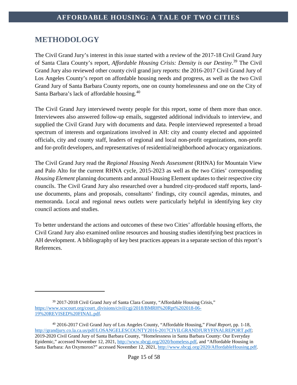# <span id="page-15-0"></span>**METHODOLOGY**

 $\overline{a}$ 

The Civil Grand Jury's interest in this issue started with a review of the 2017-18 Civil Grand Jury of Santa Clara County's report, *Affordable Housing Crisis: Density is our Destiny*. [39](#page-15-1) The Civil Grand Jury also reviewed other county civil grand jury reports: the 2016-2017 Civil Grand Jury of Los Angeles County's report on affordable housing needs and progress, as well as the two Civil Grand Jury of Santa Barbara County reports, one on county homelessness and one on the City of Santa Barbara's lack of affordable housing.[40](#page-15-2)

The Civil Grand Jury interviewed twenty people for this report, some of them more than once. Interviewees also answered follow-up emails, suggested additional individuals to interview, and supplied the Civil Grand Jury with documents and data. People interviewed represented a broad spectrum of interests and organizations involved in AH: city and county elected and appointed officials, city and county staff, leaders of regional and local non-profit organizations, non-profit and for-profit developers, and representatives of residential/neighborhood advocacy organizations.

The Civil Grand Jury read the *Regional Housing Needs Assessment* (RHNA) for Mountain View and Palo Alto for the current RHNA cycle, 2015-2023 as well as the two Cities' corresponding *Housing Element* planning documents and annual Housing Element updates to their respective city councils. The Civil Grand Jury also researched over a hundred city-produced staff reports, landuse documents, plans and proposals, consultants' findings, city council agendas, minutes, and memoranda. Local and regional news outlets were particularly helpful in identifying key city council actions and studies.

To better understand the actions and outcomes of these two Cities' affordable housing efforts, the Civil Grand Jury also examined online resources and housing studies identifying best practices in AH development. A bibliography of key best practices appears in a separate section of this report's References.

<span id="page-15-1"></span><sup>&</sup>lt;sup>39</sup> 2017-2018 Civil Grand Jury of Santa Clara County, "Affordable Housing Crisis," [https://www.scscourt.org/court\\_divisions/civil/cgj/2018/BMRH%20Rpt%202018-06-](https://www.scscourt.org/court_divisions/civil/cgj/2018/BMRH%20Rpt%202018-06-19%20REVISED%20FINAL.pdf) [19%20REVISED%20FINAL.pdf.](https://www.scscourt.org/court_divisions/civil/cgj/2018/BMRH%20Rpt%202018-06-19%20REVISED%20FINAL.pdf)

<span id="page-15-2"></span><sup>40</sup> 2016-2017 Civil Grand Jury of Los Angeles County, "Affordable Housing," *Final Report,* pp. 1-18, [http://grandjury.co.la.ca.us/pdf/LOSANGELESCOUNTY2016-2017CIVILGRANDJURYFINALREPORT.pdf;](http://grandjury.co.la.ca.us/pdf/LOSANGELESCOUNTY2016-2017CIVILGRANDJURYFINALREPORT.pdf) 2019-2020 Civil Grand Jury of Santa Barbara County, "Homelessness in Santa Barbara County: Our Everyday Epidemic," accessed November 12, 2021, [http://www.sbcgj.org/2020/homeless.pdf,](http://www.sbcgj.org/2020/homeless.pdf) and "Affordable Housing in Santa Barbara: An Oxymoron?" accessed November 12, 2021, [http://www.sbcgj.org/2020/AffordableHousing.pdf.](http://www.sbcgj.org/2020/AffordableHousing.pdf)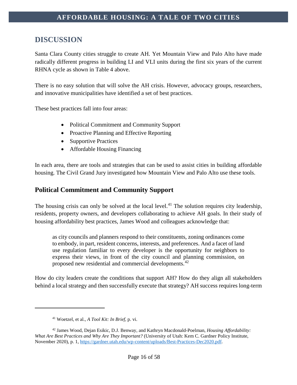# <span id="page-16-0"></span>**DISCUSSION**

Santa Clara County cities struggle to create AH. Yet Mountain View and Palo Alto have made radically different progress in building LI and VLI units during the first six years of the current RHNA cycle as shown in Table 4 above.

There is no easy solution that will solve the AH crisis. However, advocacy groups, researchers, and innovative municipalities have identified a set of best practices.

These best practices fall into four areas:

- Political Commitment and Community Support
- Proactive Planning and Effective Reporting
- Supportive Practices
- Affordable Housing Financing

In each area, there are tools and strategies that can be used to assist cities in building affordable housing. The Civil Grand Jury investigated how Mountain View and Palo Alto use these tools.

### <span id="page-16-1"></span>**Political Commitment and Community Support**

The housing crisis can only be solved at the local level.<sup>[41](#page-16-2)</sup> The solution requires city leadership, residents, property owners, and developers collaborating to achieve AH goals. In their study of housing affordability best practices, James Wood and colleagues acknowledge that:

as city councils and planners respond to their constituents, zoning ordinances come to embody, in part, resident concerns, interests, and preferences. And a facet of land use regulation familiar to every developer is the opportunity for neighbors to express their views, in front of the city council and planning commission, on proposed new residential and commercial developments.<sup>[42](#page-16-3)</sup>

How do city leaders create the conditions that support AH? How do they align all stakeholders behind a local strategy and then successfully execute that strategy? AH success requires long-term

<sup>41</sup> Woetzel, et al., *A Tool Kit: In Brief*, p. vi.

<span id="page-16-3"></span><span id="page-16-2"></span><sup>42</sup> James Wood, Dejan Esikic, D.J. Benway, and Kathryn Macdonald-Poelman, *Housing Affordability: What Are Best Practices and Why Are They Important?* (University of Utah: Kem C. Gardner Policy Institute, November 2020), p. 1, [https://gardner.utah.edu/wp-content/uploads/Best-Practices-Dec2020.pdf.](https://gardner.utah.edu/wp-content/uploads/Best-Practices-Dec2020.pdf)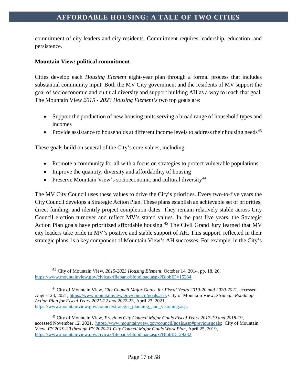commitment of city leaders and city residents. Commitment requires leadership, education, and persistence.

### **Mountain View: political commitment**

 $\overline{a}$ 

Cities develop each *Housing Element* eight-year plan through a formal process that includes substantial community input. Both the MV City government and the residents of MV support the goal of socioeconomic and cultural diversity and support building AH as a way to reach that goal. The Mountain View *2015 - 2023 Housing Element's* two top goals are:

- Support the production of new housing units serving a broad range of household types and incomes
- Provide assistance to households at different income levels to address their housing needs<sup>[43](#page-17-0)</sup>

These goals build on several of the City's core values, including:

- Promote a community for all with a focus on strategies to protect vulnerable populations
- Improve the quantity, diversity and affordability of housing
- Preserve Mountain View's socioeconomic and cultural diversity  $44$

The MV City Council uses these values to drive the City's priorities. Every two-to-five years the City Council develops a Strategic Action Plan. These plans establish an achievable set of priorities, direct funding, and identify project completion dates. They remain relatively stable across City Council election turnover and reflect MV's stated values. In the past five years, the Strategic Action Plan goals have prioritized affordable housing.<sup>[45](#page-17-2)</sup> The Civil Grand Jury learned that MV city leaders take pride in MV's positive and stable support of AH. This support, reflected in their strategic plans, is a key component of Mountain View's AH successes. For example, in the City's

<span id="page-17-0"></span><sup>43</sup> City of Mountain View, *2015-2023 Housing Element,* October 14, 2014, pp. 18, 26, [https://www.mountainview.gov/civicax/filebank/blobdload.aspx?BlobID=15284.](https://www.mountainview.gov/civicax/filebank/blobdload.aspx?BlobID=15284)

<span id="page-17-1"></span><sup>44</sup> City of Mountain View, *City Council Major Goals for Fiscal Years 2019-20 and 2020-2021*, accessed August 23, 2021, [https://www.mountainview.gov/council/goals.asp;](https://www.mountainview.gov/council/goals.asp) City of Mountain View, *Strategic Roadmap Action Plan for Fiscal Years 2021-22 and 2022-*23, April 23, 2021, [https://www.mountainview.gov/council/strategic\\_planning\\_and\\_visioning.asp.](https://www.mountainview.gov/council/strategic_planning_and_visioning.asp)

<span id="page-17-2"></span><sup>45</sup> City of Mountain View, *Previous City Council Major Goals Fiscal Years 2017-19 and 2018-19,* accessed November 12, 2021, [https://www.mountainview.gov/council/goals.asp#previousgoals;](https://www.mountainview.gov/council/goals.asp#previousgoals) City of Mountain View, *FY 2019-20 through FY 2020-21 City Council Major Goals Work Plan,* April 25, 2019, [https://www.mountainview.gov/civicax/filebank/blobdload.aspx?BlobID=29232.](https://www.mountainview.gov/civicax/filebank/blobdload.aspx?BlobID=29232)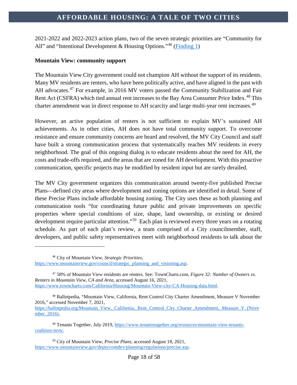2021-2022 and 2022-2023 action plans, two of the seven strategic priorities are "Community for All" and "Intentional Development & Housing Options."<sup>[46](#page-18-0)</sup> [\(Finding 1\)](#page-41-1)

#### **Mountain View: community support**

The Mountain View City government could not champion AH without the support of its residents. Many MV residents are renters, who have been politically active, and have aligned in the past with AH advocates.<sup>[47](#page-18-1)</sup> For example, in 2016 MV voters passed the Community Stabilization and Fair Rent Act (CSFRA) which tied annual rent increases to the Bay Area Consumer Price Index.<sup>[48](#page-18-2)</sup> This charter amendment was in direct response to AH scarcity and large multi-year rent increases.<sup>[49](#page-18-3)</sup>

However, an active population of renters is not sufficient to explain MV's sustained AH achievements. As in other cities, AH does not have total community support. To overcome resistance and ensure community concerns are heard and resolved, the MV City Council and staff have built a strong communication process that systematically reaches MV residents in every neighborhood. The goal of this ongoing dialog is to educate residents about the need for AH, the costs and trade-offs required, and the areas that are zoned for AH development. With this proactive communication, specific projects may be modified by resident input but are rarely derailed.

The MV City government organizes this communication around twenty-five published Precise Plans—defined city areas where development and zoning options are identified in detail. Some of these Precise Plans include affordable housing zoning. The City uses these as both planning and communication tools "for coordinating future public and private improvements on specific properties where special conditions of size, shape, land ownership, or existing or desired development require particular attention."<sup>50</sup> Each plan is reviewed every three years on a rotating schedule. As part of each plan's review, a team comprised of a City councilmember, staff, developers, and public safety representatives meet with neighborhood residents to talk about the

 $\overline{a}$ 

<span id="page-18-2"></span><sup>48</sup> Ballotpedia, "Mountain View, California, Rent Control City Charter Amendment, Measure V November 2016," accessed November 7, 2021, [https://ballotpedia.org/Mountain\\_View,\\_California,\\_Rent\\_Control\\_City\\_Charter\\_Amendment,\\_Measure\\_V\\_\(Nove](https://ballotpedia.org/Mountain_View,_California,_Rent_Control_City_Charter_Amendment,_Measure_V_(November_2016)) [mber\\_2016\).](https://ballotpedia.org/Mountain_View,_California,_Rent_Control_City_Charter_Amendment,_Measure_V_(November_2016))

<span id="page-18-3"></span><sup>49</sup> Tenants Together, July 2019, [https://www.tenantstogether.org/resources/mountain-view-tenants](https://www.tenantstogether.org/resources/mountain-view-tenants-coalition-mvtc)[coalition-mvtc.](https://www.tenantstogether.org/resources/mountain-view-tenants-coalition-mvtc) 

<span id="page-18-0"></span><sup>46</sup> City of Mountain View, *Strategic Priorities*, [https://www.mountainview.gov/council/strategic\\_planning\\_and\\_visioning.asp.](https://www.mountainview.gov/council/strategic_planning_and_visioning.asp)

<span id="page-18-1"></span><sup>47</sup> 58% of Mountain View residents are renters. See: TownCharts.com, *Figure 32: Number of Owners vs. Renters in Mountain View, CA and Area*, accessed August 16, 2021, [https://www.towncharts.com/California/Housing/Mountain-View-city-CA-Housing-data.html.](https://www.towncharts.com/California/Housing/Mountain-View-city-CA-Housing-data.html)

<span id="page-18-4"></span><sup>50</sup> City of Mountain View, *Precise Plans*, accessed August 18, 2021, [https://www.mountainview.gov/depts/comdev/planning/regulations/precise.asp.](https://www.mountainview.gov/depts/comdev/planning/regulations/precise.asp)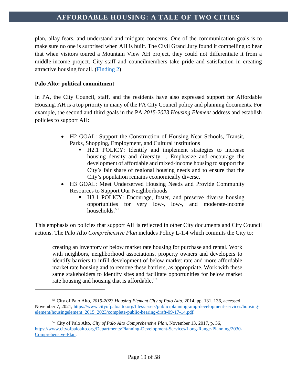plan, allay fears, and understand and mitigate concerns. One of the communication goals is to make sure no one is surprised when AH is built. The Civil Grand Jury found it compelling to hear that when visitors toured a Mountain View AH project, they could not differentiate it from a middle-income project. City staff and councilmembers take pride and satisfaction in creating attractive housing for all. [\(Finding 2\)](#page-41-2)

#### **Palo Alto: political commitment**

 $\overline{a}$ 

In PA, the City Council, staff, and the residents have also expressed support for Affordable Housing. AH is a top priority in many of the PA City Council policy and planning documents. For example, the second and third goals in the PA *2015-2023 Housing Element* address and establish policies to support AH:

- H2 GOAL: Support the Construction of Housing Near Schools, Transit, Parks, Shopping, Employment, and Cultural institutions
	- H2.1 POLICY: Identify and implement strategies to increase housing density and diversity…. Emphasize and encourage the development of affordable and mixed-income housing to support the City's fair share of regional housing needs and to ensure that the City's population remains economically diverse.
- H3 GOAL: Meet Underserved Housing Needs and Provide Community Resources to Support Our Neighborhoods
	- H3.1 POLICY: Encourage, foster, and preserve diverse housing opportunities for very low-, low-, and moderate-income households. $51$

This emphasis on policies that support AH is reflected in other City documents and City Council actions. The Palo Alto *Comprehensive Plan* includes Policy L-1.4 which commits the City to:

creating an inventory of below market rate housing for purchase and rental. Work with neighbors, neighborhood associations, property owners and developers to identify barriers to infill development of below market rate and more affordable market rate housing and to remove these barriers, as appropriate. Work with these same stakeholders to identify sites and facilitate opportunities for below market rate housing and housing that is affordable. $52$ 

<span id="page-19-0"></span><sup>51</sup> City of Palo Alto, *2015-2023 Housing Element City of Palo Alto*, 2014, pp. 131, 136, accessed November 7, 2021[, https://www.cityofpaloalto.org/files/assets/public/planning-amp-development-services/housing](https://www.cityofpaloalto.org/files/assets/public/planning-amp-development-services/housing-element/housingelement_2015_2023/complete-public-hearing-draft-09-17-14.pdf)[element/housingelement\\_2015\\_2023/complete-public-hearing-draft-09-17-14.pdf.](https://www.cityofpaloalto.org/files/assets/public/planning-amp-development-services/housing-element/housingelement_2015_2023/complete-public-hearing-draft-09-17-14.pdf)

<span id="page-19-1"></span><sup>52</sup> City of Palo Alto, *City of Palo Alto Comprehensive Plan*, November 13, 2017, p. 36, [https://www.cityofpaloalto.org/Departments/Planning-Development-Services/Long-Range-Planning/2030-](https://www.cityofpaloalto.org/Departments/Planning-Development-Services/Long-Range-Planning/2030-Comprehensive-Plan) [Comprehensive-Plan.](https://www.cityofpaloalto.org/Departments/Planning-Development-Services/Long-Range-Planning/2030-Comprehensive-Plan)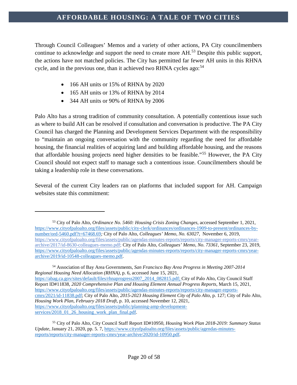Through Council Colleagues' Memos and a variety of other actions, PA City councilmembers continue to acknowledge and support the need to create more AH.<sup>[53](#page-20-0)</sup> Despite this public support, the actions have not matched policies. The City has permitted far fewer AH units in this RHNA cycle, and in the previous one, than it achieved two RHNA cycles ago:<sup>[54](#page-20-1)</sup>

- 166 AH units or 15% of RHNA by 2020
- 165 AH units or 13% of RHNA by 2014
- 344 AH units or 90% of RHNA by 2006

 $\overline{a}$ 

Palo Alto has a strong tradition of community consultation. A potentially contentious issue such as where to build AH can be resolved if consultation and conversation is productive. The PA City Council has charged the Planning and Development Services Department with the responsibility to "maintain an ongoing conversation with the community regarding the need for affordable housing, the financial realities of acquiring land and building affordable housing, and the reasons that affordable housing projects need higher densities to be feasible."[55](#page-20-2) However, the PA City Council should not expect staff to manage such a contentious issue. Councilmembers should be taking a leadership role in these conversations.

Several of the current City leaders ran on platforms that included support for AH. Campaign websites state this commitment:

<span id="page-20-1"></span><sup>54</sup> Association of Bay Area Governments, *San Francisco Bay Area Progress in Meeting 2007-2014 Regional Housing Need Allocation (RHNA),* p. 6, accessed June 15, 2021, [https://abag.ca.gov/sites/default/files/rhnaprogress2007\\_2014\\_082815.pdf;](https://abag.ca.gov/sites/default/files/rhnaprogress2007_2014_082815.pdf) City of Palo Alto, City Council Staff Report ID#11838, *2020 Comprehensive Plan and Housing Element Annual Progress Reports*, March 15, 2021, [https://www.cityofpaloalto.org/files/assets/public/agendas-minutes-reports/reports/city-manager-reports](https://www.cityofpaloalto.org/files/assets/public/agendas-minutes-reports/reports/city-manager-reports-cmrs/2021/id-11838.pdf)[cmrs/2021/id-11838.pdf;](https://www.cityofpaloalto.org/files/assets/public/agendas-minutes-reports/reports/city-manager-reports-cmrs/2021/id-11838.pdf) City of Palo Alto, *2015-2023 Housing Element City of Palo Alto*, p. 127; City of Palo Alto, *Housing Work Plan, February 2018 Draft*, p. 10, accessed November 12, 2021, [https://www.cityofpaloalto.org/files/assets/public/planning-amp-development](https://www.cityofpaloalto.org/files/assets/public/planning-amp-development-services/2018_01_26_housing_work_plan_final.pdf)services/2018\_01\_26\_housing\_work\_plan\_final.pdf.

<span id="page-20-0"></span><sup>53</sup> City of Palo Alto, *Ordinance No. 5460: Housing Crisis Zoning Changes,* accessed September 1, 2021, [https://www.cityofpaloalto.org/files/assets/public/city-clerk/ordinances/ordinances-1909-to-present/ordinances-by](https://www.cityofpaloalto.org/files/assets/public/city-clerk/ordinances/ordinances-1909-to-present/ordinances-by-number/ord-5460.pdf?t=67468.69)[number/ord-5460.pdf?t=67468.69](https://www.cityofpaloalto.org/files/assets/public/city-clerk/ordinances/ordinances-1909-to-present/ordinances-by-number/ord-5460.pdf?t=67468.69)*;* City of Palo Alto, *Colleagues' Memo, No. 63027*, November 6, 2019, [https://www.cityofpaloalto.org/files/assets/public/agendas-minutes-reports/reports/city-manager-reports-cmrs/year](https://www.cityofpaloalto.org/files/assets/public/agendas-minutes-reports/reports/city-manager-reports-cmrs/year-archive/2017/id-8630-colleagues-memo.pdf)[archive/2017/id-8630-colleagues-memo.pdf;](https://www.cityofpaloalto.org/files/assets/public/agendas-minutes-reports/reports/city-manager-reports-cmrs/year-archive/2017/id-8630-colleagues-memo.pdf) City of Palo Alto, *Colleagues' Memo, No*. *73361*, September 23, 2019, [https://www.cityofpaloalto.org/files/assets/public/agendas-minutes-reports/reports/city-manager-reports-cmrs/year](https://www.cityofpaloalto.org/files/assets/public/agendas-minutes-reports/reports/city-manager-reports-cmrs/year-archive/2019/id-10548-colleagues-memo.pdf)[archive/2019/id-10548-colleagues-memo.pdf.](https://www.cityofpaloalto.org/files/assets/public/agendas-minutes-reports/reports/city-manager-reports-cmrs/year-archive/2019/id-10548-colleagues-memo.pdf)

<span id="page-20-2"></span><sup>55</sup> City of Palo Alto, City Council Staff Report ID#10950, *Housing Work Plan 2018-2019: Summary Status Update*, January 21, 2020, pp. 5. 7, [https://www.cityofpaloalto.org/files/assets/public/agendas-minutes](https://www.cityofpaloalto.org/files/assets/public/agendas-minutes-reports/reports/city-manager-reports-cmrs/year-archive/2020/id-10950.pdf)[reports/reports/city-manager-reports-cmrs/year-archive/2020/id-10950.pdf.](https://www.cityofpaloalto.org/files/assets/public/agendas-minutes-reports/reports/city-manager-reports-cmrs/year-archive/2020/id-10950.pdf)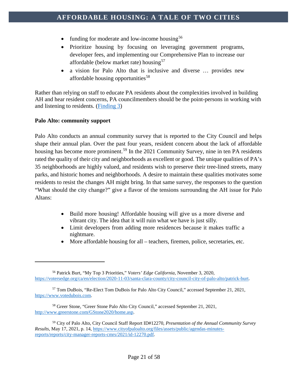- funding for moderate and low-income housing<sup>[56](#page-21-0)</sup>
- Prioritize housing by focusing on leveraging government programs, developer fees, and implementing our Comprehensive Plan to increase our affordable (below market rate) housing<sup>[57](#page-21-1)</sup>
- a vision for Palo Alto that is inclusive and diverse … provides new affordable housing opportunities<sup>[58](#page-21-2)</sup>

Rather than relying on staff to educate PA residents about the complexities involved in building AH and hear resident concerns, PA councilmembers should be the point-persons in working with and listening to residents. [\(Finding 3\)](#page-41-3)

### **Palo Alto: community support**

 $\overline{a}$ 

Palo Alto conducts an annual community survey that is reported to the City Council and helps shape their annual plan. Over the past four years, resident concern about the lack of affordable housing has become more prominent.<sup>[59](#page-21-3)</sup> In the 2021 Community Survey, nine in ten PA residents rated the quality of their city and neighborhoods as excellent or good. The unique qualities of PA's 35 neighborhoods are highly valued, and residents wish to preserve their tree-lined streets, many parks, and historic homes and neighborhoods. A desire to maintain these qualities motivates some residents to resist the changes AH might bring. In that same survey, the responses to the question "What should the city change?" give a flavor of the tensions surrounding the AH issue for Palo Altans:

- Build more housing! Affordable housing will give us a more diverse and vibrant city. The idea that it will ruin what we have is just silly.
- Limit developers from adding more residences because it makes traffic a nightmare.
- More affordable housing for all teachers, firemen, police, secretaries, etc.

<span id="page-21-0"></span><sup>56</sup> Patrick Burt, "My Top 3 Priorities," *Voters' Edge California,* November 3, 2020, [https://votersedge.org/ca/en/election/2020-11-03/santa-clara-county/city-council-city-of-palo-alto/patrick-burt.](https://votersedge.org/ca/en/election/2020-11-03/santa-clara-county/city-council-city-of-palo-alto/patrick-burt)

<span id="page-21-1"></span><sup>57</sup> Tom DuBois, "Re-Elect Tom DuBois for Palo Alto City Council," accessed September 21, 2021, [https://www.votedubois.com.](https://www.votedubois.com/)

<span id="page-21-2"></span><sup>58</sup> Greer Stone, "Greer Stone Palo Alto City Council," accessed September 21, 2021, [http://www.greerstone.com/GStone2020/home.asp.](http://www.greerstone.com/GStone2020/home.asp)

<span id="page-21-3"></span><sup>59</sup> City of Palo Alto, City Council Staff Report ID#12270, *Presentation of the Annual Community Survey Results*, May 17, 2021, p. 14[, https://www.cityofpaloalto.org/files/assets/public/agendas-minutes](https://www.cityofpaloalto.org/files/assets/public/agendas-minutes-reports/reports/city-manager-reports-cmrs/2021/id-12270.pdf)[reports/reports/city-manager-reports-cmrs/2021/id-12270.pdf.](https://www.cityofpaloalto.org/files/assets/public/agendas-minutes-reports/reports/city-manager-reports-cmrs/2021/id-12270.pdf)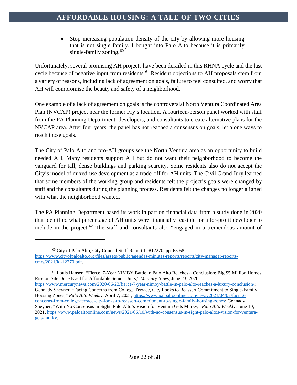• Stop increasing population density of the city by allowing more housing that is not single family. I bought into Palo Alto because it is primarily single-family zoning.  $60$ 

Unfortunately, several promising AH projects have been derailed in this RHNA cycle and the last cycle because of negative input from residents.<sup>[61](#page-22-1)</sup> Resident objections to AH proposals stem from a variety of reasons, including lack of agreement on goals, failure to feel consulted, and worry that AH will compromise the beauty and safety of a neighborhood.

One example of a lack of agreement on goals is the controversial North Ventura Coordinated Area Plan (NVCAP) project near the former Fry's location. A fourteen-person panel worked with staff from the PA Planning Department, developers, and consultants to create alternative plans for the NVCAP area. After four years, the panel has not reached a consensus on goals, let alone ways to reach those goals.

The City of Palo Alto and pro-AH groups see the North Ventura area as an opportunity to build needed AH. Many residents support AH but do not want their neighborhood to become the vanguard for tall, dense buildings and parking scarcity. Some residents also do not accept the City's model of mixed-use development as a trade-off for AH units. The Civil Grand Jury learned that some members of the working group and residents felt the project's goals were changed by staff and the consultants during the planning process. Residents felt the changes no longer aligned with what the neighborhood wanted.

The PA Planning Department based its work in part on financial data from a study done in 2020 that identified what percentage of AH units were financially feasible for a for-profit developer to include in the project.<sup>[62](#page-22-2)</sup> The staff and consultants also "engaged in a tremendous amount of

 $\overline{a}$ 

<span id="page-22-2"></span><span id="page-22-1"></span><sup>61</sup> Louis Hansen, "Fierce, 7-Year NIMBY Battle in Palo Alto Reaches a Conclusion: Big \$5 Million Homes Rise on Site Once Eyed for Affordable Senior Units," *Mercury News*, June 23, 2020, [https://www.mercurynews.com/2020/06/23/fierce-7-year-nimby-battle-in-palo-alto-reaches-a-luxury-conclusion/;](https://www.mercurynews.com/2020/06/23/fierce-7-year-nimby-battle-in-palo-alto-reaches-a-luxury-conclusion/) Gennady Sheyner, "Facing Concerns from College Terrace, City Looks to Reassert Commitment to Single-Family Housing Zones," *Palo Alto Weekly*, April 7, 2021, [https://www.paloaltoonline.com/news/2021/04/07/facing](https://www.paloaltoonline.com/news/2021/04/07/facing-concerns-from-college-terrace-city-looks-to-reassert-commitment-to-single-family-housing-zones)[concerns-from-college-terrace-city-looks-to-reassert-commitment-to-single-family-housing-zones;](https://www.paloaltoonline.com/news/2021/04/07/facing-concerns-from-college-terrace-city-looks-to-reassert-commitment-to-single-family-housing-zones) Gennady Sheyner, "With No Consensus in Sight, Palo Alto's Vision for Ventura Gets Murky," *Palo Alto Weekly*, June 10, 2021, [https://www.paloaltoonline.com/news/2021/06/10/with-no-consensus-in-sight-palo-altos-vision-for-ventura](https://www.paloaltoonline.com/news/2021/06/10/with-no-consensus-in-sight-palo-altos-vision-for-ventura-gets-murky)[gets-murky.](https://www.paloaltoonline.com/news/2021/06/10/with-no-consensus-in-sight-palo-altos-vision-for-ventura-gets-murky)

<sup>60</sup> City of Palo Alto, City Council Staff Report ID#12270, pp. 65-68,

<span id="page-22-0"></span>[https://www.cityofpaloalto.org/files/assets/public/agendas-minutes-reports/reports/city-manager-reports](https://www.cityofpaloalto.org/files/assets/public/agendas-minutes-reports/reports/city-manager-reports-cmrs/2021/id-12270.pdf)[cmrs/2021/id-12270.pdf.](https://www.cityofpaloalto.org/files/assets/public/agendas-minutes-reports/reports/city-manager-reports-cmrs/2021/id-12270.pdf)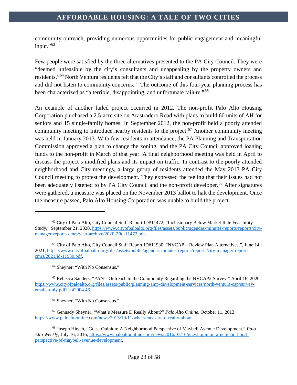community outreach, providing numerous opportunities for public engagement and meaningful input."<sup>[63](#page-23-0)</sup>

Few people were satisfied by the three alternatives presented to the PA City Council. They were "deemed unfeasible by the city's consultants and unappealing by the property owners and residents."<sup>[64](#page-23-1)</sup> North Ventura residents felt that the City's staff and consultants controlled the process and did not listen to community concerns.<sup>[65](#page-23-2)</sup> The outcome of this four-year planning process has been characterized as "a terrible, disappointing, and unfortunate failure."[66](#page-23-3)

An example of another failed project occurred in 2012. The non-profit Palo Alto Housing Corporation purchased a 2.5-acre site on Arastradero Road with plans to build 60 units of AH for seniors and 15 single-family homes. In September 2012, the non-profit held a poorly attended community meeting to introduce nearby residents to the project.<sup>[67](#page-23-4)</sup> Another community meeting was held in January 2013. With few residents in attendance, the PA Planning and Transportation Commission approved a plan to change the zoning, and the PA City Council approved loaning funds to the non-profit in March of that year. A final neighborhood meeting was held in April to discuss the project's modified plans and its impact on traffic. In contrast to the poorly attended neighborhood and City meetings, a large group of residents attended the May 2013 PA City Council meeting to protest the development. They expressed the feeling that their issues had not been adequately listened to by PA City Council and the non-profit developer.<sup>[68](#page-23-5)</sup> After signatures were gathered, a measure was placed on the November 2013 ballot to halt the development. Once the measure passed, Palo Alto Housing Corporation was unable to build the project.

<sup>64</sup> Sheyner, "With No Consensus."

 $62$  City of Palo Alto, City Council Staff Report ID#11472, "Inclusionary Below Market Rate Feasibility Study," September 21, 2020, [https://www.cityofpaloalto.org/files/assets/public/agendas-minutes-reports/reports/city](https://www.cityofpaloalto.org/files/assets/public/agendas-minutes-reports/reports/city-manager-reports-cmrs/year-archive/2020-2/id-11472.pdf)[manager-reports-cmrs/year-archive/2020-2/id-11472.pdf.](https://www.cityofpaloalto.org/files/assets/public/agendas-minutes-reports/reports/city-manager-reports-cmrs/year-archive/2020-2/id-11472.pdf)

<span id="page-23-0"></span><sup>63</sup> City of Palo Alto, City Council Staff Report ID#11930, "NVCAP – Review Plan Alternatives,", June 14, 2021, [https://www.cityofpaloalto.org/files/assets/public/agendas-minutes-reports/reports/city-manager-reports](https://www.cityofpaloalto.org/files/assets/public/agendas-minutes-reports/reports/city-manager-reports-cmrs/2021/id-11930.pdf)[cmrs/2021/id-11930.pdf.](https://www.cityofpaloalto.org/files/assets/public/agendas-minutes-reports/reports/city-manager-reports-cmrs/2021/id-11930.pdf)

<span id="page-23-2"></span><span id="page-23-1"></span><sup>65</sup> Rebecca Sanders, "PAN's Outreach to the Community Regarding the NVCAP2 Survey," April 16, 2020, [https://www.cityofpaloalto.org/files/assets/public/planning-amp-development-services/north-ventura-cap/survey](https://www.cityofpaloalto.org/files/assets/public/planning-amp-development-services/north-ventura-cap/survey-emails-only.pdf?t=42004.46)[emails-only.pdf?t=42004.46.](https://www.cityofpaloalto.org/files/assets/public/planning-amp-development-services/north-ventura-cap/survey-emails-only.pdf?t=42004.46)

<sup>66</sup> Sheyner, "With No Consensus."

<span id="page-23-4"></span><span id="page-23-3"></span><sup>67</sup> Gennady Sheyner, "What's Measure D Really About?" *Palo Alto Online*, October 11, 2013, [https://www.paloaltoonline.com/news/2013/10/11/whats-measure-d-really-about.](https://www.paloaltoonline.com/news/2013/10/11/whats-measure-d-really-about)

<span id="page-23-5"></span><sup>68</sup> Joseph Hirsch, "Guest Opinion: A Neighborhood Perspective of Maybell Avenue Development," *Palo Alto Weekly,* July 16, 2016, [https://www.paloaltoonline.com/news/2016/07/16/guest-opinion-a-neighborhood](https://www.paloaltoonline.com/news/2016/07/16/guest-opinion-a-neighborhood-perspective-of-maybell-avenue-development)[perspective-of-maybell-avenue-development.](https://www.paloaltoonline.com/news/2016/07/16/guest-opinion-a-neighborhood-perspective-of-maybell-avenue-development)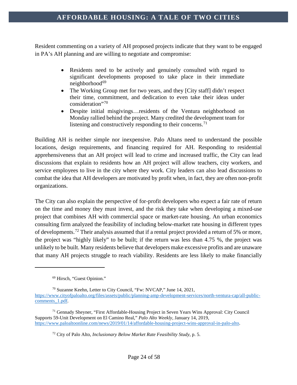Resident commenting on a variety of AH proposed projects indicate that they want to be engaged in PA's AH planning and are willing to negotiate and compromise:

- Residents need to be actively and genuinely consulted with regard to significant developments proposed to take place in their immediate  $neighborhood<sup>69</sup>$  $neighborhood<sup>69</sup>$  $neighborhood<sup>69</sup>$
- The Working Group met for two years, and they [City staff] didn't respect their time, commitment, and dedication to even take their ideas under consideration"<sup>[70](#page-24-1)</sup>
- Despite initial misgivings…residents of the Ventura neighborhood on Monday rallied behind the project. Many credited the development team for listening and constructively responding to their concerns.<sup>[71](#page-24-2)</sup>

Building AH is neither simple nor inexpensive. Palo Altans need to understand the possible locations, design requirements, and financing required for AH. Responding to residential apprehensiveness that an AH project will lead to crime and increased traffic, the City can lead discussions that explain to residents how an AH project will allow teachers, city workers, and service employees to live in the city where they work. City leaders can also lead discussions to combat the idea that AH developers are motivated by profit when, in fact, they are often non-profit organizations.

The City can also explain the perspective of for-profit developers who expect a fair rate of return on the time and money they must invest, and the risk they take when developing a mixed-use project that combines AH with commercial space or market-rate housing. An urban economics consulting firm analyzed the feasibility of including below-market rate housing in different types of developments.<sup>[72](#page-24-3)</sup> Their analysis assumed that if a rental project provided a return of 5% or more, the project was "highly likely" to be built; if the return was less than 4.75 %, the project was unlikely to be built. Many residents believe that developers make excessive profits and are unaware that many AH projects struggle to reach viability. Residents are less likely to make financially

<sup>69</sup> Hirsch, "Guest Opinion."

<span id="page-24-1"></span><span id="page-24-0"></span><sup>70</sup> Suzanne Keehn, Letter to City Council, "Fw: NVCAP," June 14, 2021, [https://www.cityofpaloalto.org/files/assets/public/planning-amp-development-services/north-ventura-cap/all-public](https://www.cityofpaloalto.org/files/assets/public/planning-amp-development-services/north-ventura-cap/all-public-comments_1.pdf)comments 1.pdf.

<span id="page-24-3"></span><span id="page-24-2"></span><sup>71</sup> Gennady Sheyner, "First Affordable-Housing Project in Seven Years Wins Approval: City Council Supports 59-Unit Development on El Camino Real," *Palo Alto Weekly,* January 14, 2019, [https://www.paloaltoonline.com/news/2019/01/14/affordable-housing-project-wins-approval-in-palo-alto.](https://www.paloaltoonline.com/news/2019/01/14/affordable-housing-project-wins-approval-in-palo-alto)

<sup>72</sup> City of Palo Alto, *Inclusionary Below Market Rate Feasibility Study*, p. 5.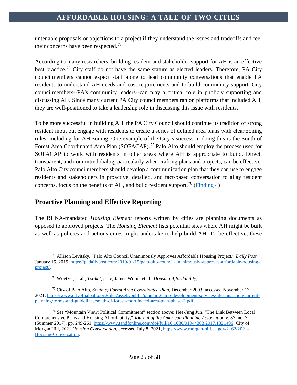untenable proposals or objections to a project if they understand the issues and tradeoffs and feel their concerns have been respected.<sup>[73](#page-25-1)</sup>

According to many researchers, building resident and stakeholder support for AH is an effective best practice.<sup>[74](#page-25-2)</sup> City staff do not have the same stature as elected leaders. Therefore, PA City councilmembers cannot expect staff alone to lead community conversations that enable PA residents to understand AH needs and cost requirements and to build community support. City councilmembers--PA's community leaders--can play a critical role in publicly supporting and discussing AH. Since many current PA City councilmembers ran on platforms that included AH, they are well-positioned to take a leadership role in discussing this issue with residents.

To be more successful in building AH, the PA City Council should continue its tradition of strong resident input but engage with residents to create a series of defined area plans with clear zoning rules, including for AH zoning. One example of the City's success in doing this is the South of Forest Area Coordinated Area Plan (SOFACAP).<sup>[75](#page-25-3)</sup> Palo Alto should employ the process used for SOFACAP to work with residents in other areas where AH is appropriate to build. Direct, transparent, and committed dialog, particularly when crafting plans and projects, can be effective. Palo Alto City councilmembers should develop a communication plan that they can use to engage residents and stakeholders in proactive, detailed, and fact-based conversation to allay resident concerns, focus on the benefits of AH, and build resident support.<sup>[76](#page-25-4)</sup> [\(Finding 4\)](#page-41-4)

# <span id="page-25-0"></span>**Proactive Planning and Effective Reporting**

 $\overline{a}$ 

The RHNA-mandated *Housing Element* reports written by cities are planning documents as opposed to approved projects. The *Housing Element* lists potential sites where AH might be built as well as policies and actions cities might undertake to help build AH. To be effective, these

<span id="page-25-1"></span><sup>73</sup> Allison Levitsky, "Palo Alto Council Unanimously Approves Affordable Housing Project," *Daily Post*, January 15, 2019[, https://padailypost.com/2019/01/15/palo-alto-council-unanimously-approves-affordable-housing](https://padailypost.com/2019/01/15/palo-alto-council-unanimously-approves-affordable-housing-project/)[project/.](https://padailypost.com/2019/01/15/palo-alto-council-unanimously-approves-affordable-housing-project/)

<sup>74</sup> Woetzel, et al., *Toolkit*, p. iv; James Wood, et al., *Housing Affordability,*

<span id="page-25-3"></span><span id="page-25-2"></span><sup>75</sup> City of Palo Alto, *South of Forest Area Coordinated Plan*, December 2003, accessed November 13, 2021, [https://www.cityofpaloalto.org/files/assets/public/planning-amp-development-services/file-migration/current](https://www.cityofpaloalto.org/files/assets/public/planning-amp-development-services/file-migration/current-planning/forms-and-guidelines/south-of-forest-coordinated-area-plan-phase-2.pdf)[planning/forms-and-guidelines/south-of-forest-coordinated-area-plan-phase-2.pdf.](https://www.cityofpaloalto.org/files/assets/public/planning-amp-development-services/file-migration/current-planning/forms-and-guidelines/south-of-forest-coordinated-area-plan-phase-2.pdf)

<span id="page-25-4"></span><sup>76</sup> See "Mountain View: Political Commitment" section above; Hee-Jung Jun, "The Link Between Local Comprehensive Plans and Housing Affordability," *Journal of the American Planning Association* v. 83, no. 3 (Summer 2017), pp. 249-261[, https://www.tandfonline.com/doi/full/10.1080/01944363.2017.1321496;](https://www.tandfonline.com/doi/full/10.1080/01944363.2017.1321496) City of Morgan Hill, *2021 Housing Conversation,* accessed July 8, 2021, [https://www.morgan-hill.ca.gov/2162/2021-](https://www.morgan-hill.ca.gov/2162/2021-Housing-Conversation) [Housing-Conversation.](https://www.morgan-hill.ca.gov/2162/2021-Housing-Conversation)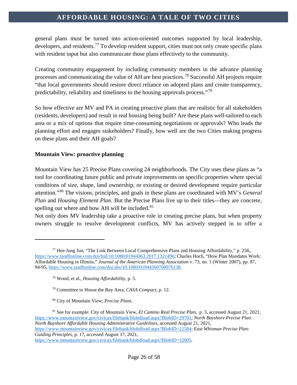general plans must be turned into action-oriented outcomes supported by local leadership, developers, and residents.<sup>[77](#page-26-0)</sup> To develop resident support, cities must not only create specific plans with resident input but also communicate those plans effectively to the community.

Creating community engagement by including community members in the advance planning processes and communicating the value of AH are best practices.[78](#page-26-1) Successful AH projects require "that local governments should restore direct reliance on adopted plans and create transparency, predictability, reliability and timeliness to the housing approvals process."[79](#page-26-2)

So how effective are MV and PA in creating proactive plans that are realistic for all stakeholders (residents, developers) and result in real housing being built? Are these plans well-tailored to each area or a mix of options that require time-consuming negotiations or approvals? Who leads the planning effort and engages stakeholders? Finally, how well are the two Cities making progress on these plans and their AH goals?

#### **Mountain View: proactive planning**

 $\overline{a}$ 

Mountain View has 25 Precise Plans covering 24 neighborhoods. The City uses these plans as "a tool for coordinating future public and private improvements on specific properties where special conditions of size, shape, land ownership, or existing or desired development require particular attention."[80](#page-26-3) The visions, principles, and goals in these plans are coordinated with MV's *General Plan* and *Housing Element Plan*. But the Precise Plans live up to their titles—they are concrete, spelling out where and how AH will be included.<sup>[81](#page-26-4)</sup>

Not only does MV leadership take a proactive role in creating precise plans, but when property owners struggle to resolve development conflicts, MV has actively stepped in to offer a

[https://www.mountainview.gov/civicax/filebank/blobdload.aspx?BlobID=32005.](https://www.mountainview.gov/civicax/filebank/blobdload.aspx?BlobID=32005)

<sup>77</sup> Hee-Jung Jun, "The Link Between Local Comprehensive Plans and Housing Affordability," p. 258,,

<span id="page-26-1"></span><span id="page-26-0"></span>[https://www.tandfonline.com/doi/full/10.1080/01944363.2017.1321496;](https://www.tandfonline.com/doi/full/10.1080/01944363.2017.1321496) Charles Hoch, "How Plan Mandates Work: Affordable Housing in Illinois," *Journal of the American Planning Association* v. 73, no. 1 (Winter 2007), pp. 87, 94-95, [https://www.tandfonline.com/doi/abs/10.1080/01944360708976138.](https://www.tandfonline.com/doi/abs/10.1080/01944360708976138)

<sup>78</sup> Wood, et al., *Housing Affordability*, p. 5.

<sup>79</sup> Committee to House the Bay Area, *CASA Compact*, p. 12.

<sup>80</sup> City of Mountain View, *Precise Plans*.

<span id="page-26-4"></span><span id="page-26-3"></span><span id="page-26-2"></span><sup>81</sup> See for example: City of Mountain View, *El Camino Real Precise Plan*, p. 3, accessed August 21, 2021, [https://www.mountainview.gov/civicax/filebank/blobdload.aspx?BlobID=29701;](https://www.mountainview.gov/civicax/filebank/blobdload.aspx?BlobID=29701) *North Bayshore Precise Plan: North Bayshore Affordable Housing Administrative Guidelines*, accessed August 21, 2021, [https://www.mountainview.gov/civicax/filebank/blobdload.aspx?BlobID=22584;](https://www.mountainview.gov/civicax/filebank/blobdload.aspx?BlobID=22584) *East Whisman Precise Plan: Guiding Principles*, p. 17, accessed August 17, 2021,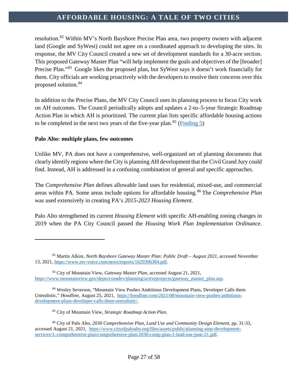resolution.<sup>[82](#page-27-0)</sup> Within MV's North Bayshore Precise Plan area, two property owners with adjacent land (Google and SyWest) could not agree on a coordinated approach to developing the sites. In response, the MV City Council created a new set of development standards for a 30-acre section. This proposed Gateway Master Plan "will help implement the goals and objectives of the [broader] Precise Plan."<sup>[83](#page-27-1)</sup> Google likes the proposed plan, but SyWest says it doesn't work financially for them. City officials are working proactively with the developers to resolve their concerns over this proposed solution.[84](#page-27-2)

In addition to the Precise Plans, the MV City Council uses its planning process to focus City work on AH outcomes. The Council periodically adopts and updates a 2-to–5-year Strategic Roadmap Action Plan in which AH is prioritized. The current plan lists specific affordable housing actions to be completed in the next two years of the five-year plan.<sup>[85](#page-27-3)</sup> [\(Finding 5\)](#page-42-0)

#### **Palo Alto: multiple plans, few outcomes**

 $\overline{a}$ 

Unlike MV, PA does not have a comprehensive, well-organized set of planning documents that clearly identify regions where the City is planning AH development that the Civil Grand Jury could find. Instead, AH is addressed in a confusing combination of general and specific approaches.

The *Comprehensive Plan* defines allowable land uses for residential, mixed-use, and commercial areas within PA. Some areas include options for affordable housing.[86](#page-27-4) The *Comprehensive Plan* was used extensively in creating PA's *2015-2023 Housing Element.*

Palo Alto strengthened its current *Housing Element* with specific AH-enabling zoning changes in 2019 when the PA City Council passed the *Housing Work Plan Implementation Ordinance.*

<span id="page-27-0"></span><sup>82</sup> Martin Alkire, *North Bayshore Gateway Master Plan: Public Draft – August 2021*, accessed November 13, 2021, [https://www.mv-voice.com/news/reports/1629396384.pdf.](https://www.mv-voice.com/news/reports/1629396384.pdf)

<span id="page-27-1"></span><sup>83</sup> City of Mountain View, *Gateway Master Plan*, accessed August 21, 2021, [https://www.mountainview.gov/depts/comdev/planning/activeprojects/gateway\\_master\\_plan.asp.](https://www.mountainview.gov/depts/comdev/planning/activeprojects/gateway_master_plan.asp)

<span id="page-27-2"></span><sup>84</sup> Wesley Severson, "Mountain View Pushes Ambitious Development Plans, Developer Calls them Unrealistic," *Hoodline*, August 25, 2021, [https://hoodline.com/2021/08/mountain-view-pushes-ambitious](https://hoodline.com/2021/08/mountain-view-pushes-ambitious-development-plans-developer-calls-them-unrealistic/)[development-plans-developer-calls-them-unrealistic/.](https://hoodline.com/2021/08/mountain-view-pushes-ambitious-development-plans-developer-calls-them-unrealistic/) 

<sup>85</sup> City of Mountain View, *Strategic Roadmap Action Plan*.

<span id="page-27-4"></span><span id="page-27-3"></span><sup>86</sup> City of Palo Alto, *2030 Comprehensive Plan, Land Use and Community Design Element*, pp. 31-33, accessed August 21, 2021, [https://www.cityofpaloalto.org/files/assets/public/planning-amp-development](https://www.cityofpaloalto.org/files/assets/public/planning-amp-development-services/3.-comprehensive-plan/comprehensive-plan/2030-comp-plan-2-land-use-june-21.pdf)[services/3.-comprehensive-plan/comprehensive-plan/2030-comp-plan-2-land-use-june-21.pdf.](https://www.cityofpaloalto.org/files/assets/public/planning-amp-development-services/3.-comprehensive-plan/comprehensive-plan/2030-comp-plan-2-land-use-june-21.pdf)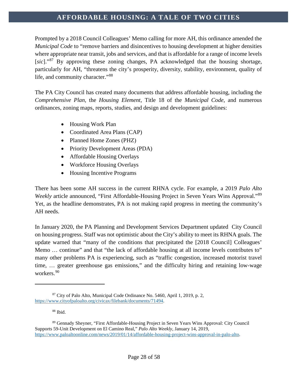Prompted by a 2018 Council Colleagues' Memo calling for more AH, this ordinance amended the *Municipal Code* to "remove barriers and disincentives to housing development at higher densities where appropriate near transit, jobs and services, and that is affordable for a range of income levels [sic]."<sup>[87](#page-28-0)</sup> By approving these zoning changes, PA acknowledged that the housing shortage, particularly for AH, "threatens the city's prosperity, diversity, stability, environment, quality of life, and community character."[88](#page-28-1)

The PA City Council has created many documents that address affordable housing, including the *Comprehensive Plan*, the *Housing Element*, Title 18 of the *Municipal Code*, and numerous ordinances, zoning maps, reports, studies, and design and development guidelines:

- Housing Work Plan
- Coordinated Area Plans (CAP)
- Planned Home Zones (PHZ)
- Priority Development Areas (PDA)
- Affordable Housing Overlays
- Workforce Housing Overlays
- Housing Incentive Programs

There has been some AH success in the current RHNA cycle. For example, a 2019 *Palo Alto Weekly* article announced, "First Affordable-Housing Project in Seven Years Wins Approval."<sup>[89](#page-28-2)</sup> Yet, as the headline demonstrates, PA is not making rapid progress in meeting the community's AH needs.

In January 2020, the PA Planning and Development Services Department updated City Council on housing progress. Staff was not optimistic about the City's ability to meet its RHNA goals. The update warned that "many of the conditions that precipitated the [2018 Council] Colleagues' Memo … continue" and that "the lack of affordable housing at all income levels contributes to" many other problems PA is experiencing, such as "traffic congestion, increased motorist travel time, … greater greenhouse gas emissions," and the difficulty hiring and retaining low-wage workers.<sup>[90](#page-28-3)</sup>

<sup>88</sup> Ibid.

<span id="page-28-3"></span><span id="page-28-0"></span><sup>87</sup> City of Palo Alto, Municipal Code Ordinance No. 5460, April 1, 2019, p. 2, [https://www.cityofpaloalto.org/civicax/filebank/documents/71494.](https://www.cityofpaloalto.org/civicax/filebank/documents/71494)

<span id="page-28-2"></span><span id="page-28-1"></span><sup>89</sup> Gennady Sheyner, "First Affordable-Housing Project in Seven Years Wins Approval: City Council Supports 59-Unit Development on El Camino Real," *Palo Alto Weekly,* January 14, 2019, [https://www.paloaltoonline.com/news/2019/01/14/affordable-housing-project-wins-approval-in-palo-alto.](https://www.paloaltoonline.com/news/2019/01/14/affordable-housing-project-wins-approval-in-palo-alto)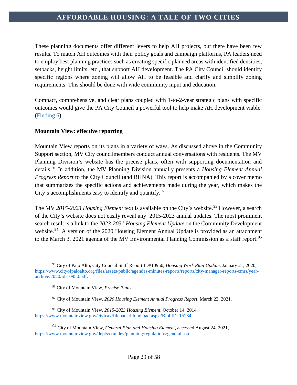These planning documents offer different levers to help AH projects, but there have been few results. To match AH outcomes with their policy goals and campaign platforms, PA leaders need to employ best planning practices such as creating specific planned areas with identified densities, setbacks, height limits, etc., that support AH development. The PA City Council should identify specific regions where zoning will allow AH to be feasible and clarify and simplify zoning requirements. This should be done with wide community input and education.

Compact, comprehensive, and clear plans coupled with 1-to-2-year strategic plans with specific outcomes would give the PA City Council a powerful tool to help make AH development viable. [\(Finding 6\)](#page-42-1)

### **Mountain View: effective reporting**

Mountain View reports on its plans in a variety of ways. As discussed above in the Community Support section, MV City councilmembers conduct annual conversations with residents. The MV Planning Division's website has the precise plans, often with supporting documentation and details.[91](#page-29-0) In addition, the MV Planning Division annually presents a *Housing Element Annual Progress Report* to the City Council (and RHNA). This report is accompanied by a cover memo that summarizes the specific actions and achievements made during the year, which makes the City's accomplishments easy to identify and quantify.  $92$ 

The MV 2015-2023 Housing Element text is available on the City's website.<sup>[93](#page-29-2)</sup> However, a search of the City's website does not easily reveal any 2015-2023 annual updates. The most prominent search result is a link to the *2023-2031 Housing Element Update* on the Community Development website.<sup>[94](#page-29-3)</sup> A version of the 2020 Housing Element Annual Update is provided as an attachment to the March 3, 2021 agenda of the MV Environmental Planning Commission as a staff report.<sup>[95](#page-29-4)</sup>

<span id="page-29-4"></span> $\overline{a}$ <sup>90</sup> City of Palo Alto, City Council Staff Report ID#10950, *Housing Work Plan Update*, January 21, 2020, [https://www.cityofpaloalto.org/files/assets/public/agendas-minutes-reports/reports/city-manager-reports-cmrs/year](https://www.cityofpaloalto.org/files/assets/public/agendas-minutes-reports/reports/city-manager-reports-cmrs/year-archive/2020/id-10950.pdf)[archive/2020/id-10950.pdf.](https://www.cityofpaloalto.org/files/assets/public/agendas-minutes-reports/reports/city-manager-reports-cmrs/year-archive/2020/id-10950.pdf)

<sup>91</sup> City of Mountain View, *Precise Plans*.

<sup>92</sup> City of Mountain View, *2020 Housing Element Annual Progress Report*, March 23, 2021.

<span id="page-29-2"></span><span id="page-29-1"></span><span id="page-29-0"></span><sup>93</sup> City of Mountain View, *2015-2023 Housing Element*, October 14, 2014, [https://www.mountainview.gov/civicax/filebank/blobdload.aspx?BlobID=15284.](https://www.mountainview.gov/civicax/filebank/blobdload.aspx?BlobID=15284)

<span id="page-29-3"></span><sup>94</sup> City of Mountain View, *General Plan and Housing Element*, accessed August 24, 2021, [https://www.mountainview.gov/depts/comdev/planning/regulations/general.asp.](https://www.mountainview.gov/depts/comdev/planning/regulations/general.asp)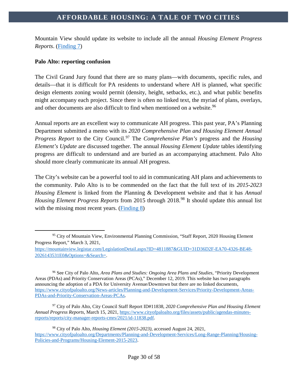Mountain View should update its website to include all the annual *Housing Element Progress Reports*. [\(Finding 7\)](#page-42-2)

### **Palo Alto: reporting confusion**

The Civil Grand Jury found that there are so many plans—with documents, specific rules, and details—that it is difficult for PA residents to understand where AH is planned, what specific design elements zoning would permit (density, height, setbacks, etc.), and what public benefits might accompany each project. Since there is often no linked text, the myriad of plans, overlays, and other documents are also difficult to find when mentioned on a website.<sup>[96](#page-30-0)</sup>

Annual reports are an excellent way to communicate AH progress. This past year, PA's Planning Department submitted a memo with its *2020 Comprehensive Plan and Housing Element Annual Progress Report* to the City Council.<sup>[97](#page-30-1)</sup> The *Comprehensive Plan's* progress and the *Housing Element's Update* are discussed together. The annual *Housing Element Update* tables identifying progress are difficult to understand and are buried as an accompanying attachment. Palo Alto should more clearly communicate its annual AH progress.

The City's website can be a powerful tool to aid in communicating AH plans and achievements to the community. Palo Alto is to be commended on the fact that the full text of its *2015-2023 Housing Element* is linked from the Planning & Development website and that it has *Annual Housing Element Progress Reports* from 2015 through 2018.<sup>[98](#page-30-2)</sup> It should update this annual list with the missing most recent years. [\(Finding 8\)](#page-43-0)

<span id="page-30-0"></span><sup>96</sup> See City of Palo Alto, *Area Plans and Studies: Ongoing Area Plans and Studies,* "Priority Development Areas (PDAs) and Priority Conservation Areas (PCAs)," December 12, 2019. This website has two paragraphs announcing the adoption of a PDA for University Avenue/Downtown but there are no linked documents, [https://www.cityofpaloalto.org/News-articles/Planning-and-Development-Services/Priority-Development-Areas-](https://www.cityofpaloalto.org/News-articles/Planning-and-Development-Services/Priority-Development-Areas-PDAs-and-Priority-Conservation-Areas-PCAs)[PDAs-and-Priority-Conservation-Areas-PCAs.](https://www.cityofpaloalto.org/News-articles/Planning-and-Development-Services/Priority-Development-Areas-PDAs-and-Priority-Conservation-Areas-PCAs)

<span id="page-30-1"></span><sup>97</sup> City of Palo Alto, City Council Staff Report ID#11838, *2020 Comprehensive Plan and Housing Element Annual Progress Reports*, March 15, 2021[, https://www.cityofpaloalto.org/files/assets/public/agendas-minutes](https://www.cityofpaloalto.org/files/assets/public/agendas-minutes-reports/reports/city-manager-reports-cmrs/2021/id-11838.pdf)[reports/reports/city-manager-reports-cmrs/2021/id-11838.pdf.](https://www.cityofpaloalto.org/files/assets/public/agendas-minutes-reports/reports/city-manager-reports-cmrs/2021/id-11838.pdf)

 $\overline{a}$ <sup>95</sup> City of Mountain View, Environmental Planning Commission, "Staff Report, 2020 Housing Element Progress Report*,*" March 3, 2021,

[https://mountainview.legistar.com/LegislationDetail.aspx?ID=4811887&GUID=31D36D2F-EA70-4326-BE48-](https://mountainview.legistar.com/LegislationDetail.aspx?ID=4811887&GUID=31D36D2F-EA70-4326-BE48-2026143531E0&Options=&Search=) [2026143531E0&Options=&Search=.](https://mountainview.legistar.com/LegislationDetail.aspx?ID=4811887&GUID=31D36D2F-EA70-4326-BE48-2026143531E0&Options=&Search=)

<span id="page-30-2"></span><sup>98</sup> City of Palo Alto, *Housing Element (2015-2023)*, accessed August 24, 2021, [https://www.cityofpaloalto.org/Departments/Planning-and-Development-Services/Long-Range-Planning/Housing-](https://www.cityofpaloalto.org/Departments/Planning-and-Development-Services/Long-Range-Planning/Housing-Policies-and-Programs/Housing-Element-2015-2023)[Policies-and-Programs/Housing-Element-2015-2023.](https://www.cityofpaloalto.org/Departments/Planning-and-Development-Services/Long-Range-Planning/Housing-Policies-and-Programs/Housing-Element-2015-2023)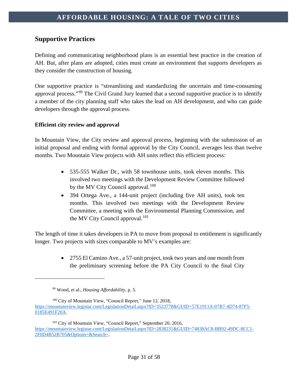# <span id="page-31-0"></span>**Supportive Practices**

Defining and communicating neighborhood plans is an essential best practice in the creation of AH. But, after plans are adopted, cities must create an environment that supports developers as they consider the construction of housing.

One supportive practice is "streamlining and standardizing the uncertain and time-consuming approval process."[99](#page-31-1) The Civil Grand Jury learned that a second supportive practice is to identify a member of the city planning staff who takes the lead on AH development, and who can guide developers through the approval process.

#### **Efficient city review and approval**

In Mountain View, the City review and approval process, beginning with the submission of an initial proposal and ending with formal approval by the City Council, averages less than twelve months. Two Mountain View projects with AH units reflect this efficient process:

- 535-555 Walker Dr., with 58 townhouse units, took eleven months. This involved two meetings with the Development Review Committee followed by the MV City Council approval.<sup>[100](#page-31-2)</sup>
- 394 Ortega Ave., a 144-unit project (including five AH units), took ten months. This involved two meetings with the Development Review Committee, a meeting with the Environmental Planning Commission, and the MV City Council approval.<sup>[101](#page-31-3)</sup>

The length of time it takes developers in PA to move from proposal to entitlement is significantly longer. Two projects with sizes comparable to MV's examples are:

> • 2755 El Camino Ave., a 57-unit project, took two years and one month from the preliminary screening before the PA City Council to the final City

<sup>99</sup> Wood, et al., *Housing Affordability*, p. 5.

<span id="page-31-2"></span><span id="page-31-1"></span><sup>&</sup>lt;sup>100</sup> City of Mountain View, "Council Report," June 12, 2018, [https://mountainview.legistar.com/LegislationDetail.aspx?ID=3523778&GUID=57E1911A-07B7-4D74-87F5-](https://mountainview.legistar.com/LegislationDetail.aspx?ID=3523778&GUID=57E1911A-07B7-4D74-87F5-0185E491F20A) [0185E491F20A.](https://mountainview.legistar.com/LegislationDetail.aspx?ID=3523778&GUID=57E1911A-07B7-4D74-87F5-0185E491F20A)

<span id="page-31-3"></span><sup>101</sup> City of Mountain View, "Council Report," September 20, 2016, [https://mountainview.legistar.com/LegislationDetail.aspx?ID=2838231&GUID=74838AC8-BB92-49DC-8CC1-](https://mountainview.legistar.com/LegislationDetail.aspx?ID=2838231&GUID=74838AC8-BB92-49DC-8CC1-2F0D4B52B705&Options=&Search=) [2F0D4B52B705&Options=&Search=.](https://mountainview.legistar.com/LegislationDetail.aspx?ID=2838231&GUID=74838AC8-BB92-49DC-8CC1-2F0D4B52B705&Options=&Search=)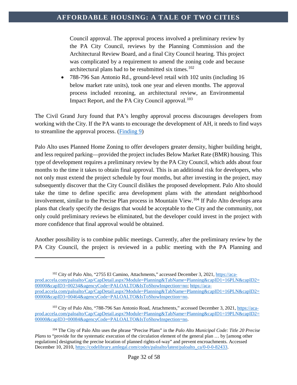Council approval. The approval process involved a preliminary review by the PA City Council, reviews by the Planning Commission and the Architectural Review Board, and a final City Council hearing. This project was complicated by a requirement to amend the zoning code and because architectural plans had to be resubmitted six times.<sup>[102](#page-32-0)</sup>

• 788-796 San Antonio Rd., ground-level retail with 102 units (including 16 below market rate units), took one year and eleven months. The approval process included rezoning, an architectural review, an Environmental Impact Report, and the PA City Council approval.<sup>[103](#page-32-1)</sup>

The Civil Grand Jury found that PA's lengthy approval process discourages developers from working with the City. If the PA wants to encourage the development of AH, it needs to find ways to streamline the approval process. [\(Finding 9\)](#page-43-1)

Palo Alto uses Planned Home Zoning to offer developers greater density, higher building height, and less required parking—provided the project includes Below Market Rate (BMR) housing. This type of development requires a preliminary review by the PA City Council, which adds about four months to the time it takes to obtain final approval. This is an additional risk for developers, who not only must extend the project schedule by four months, but after investing in the project, may subsequently discover that the City Council dislikes the proposed development. Palo Alto should take the time to define specific area development plans with the attendant neighborhood involvement, similar to the Precise Plan process in Mountain View. [104](#page-32-2) If Palo Alto develops area plans that clearly specify the designs that would be acceptable to the City and the community, not only could preliminary reviews be eliminated, but the developer could invest in the project with more confidence that final approval would be obtained.

Another possibility is to combine public meetings. Currently, after the preliminary review by the PA City Council, the project is reviewed in a public meeting with the PA Planning and

<span id="page-32-0"></span><sup>&</sup>lt;sup>102</sup> City of Palo Alto, "2755 El Camino, Attachments," accessed December 3, 2021, [https://aca](https://aca-prod.accela.com/paloalto/Cap/CapDetail.aspx?Module=Planning&TabName=Planning&capID1=16PLN&capID2=00000&capID3=00234&agencyCode=PALOALTO&IsToShowInspection=no)[prod.accela.com/paloalto/Cap/CapDetail.aspx?Module=Planning&TabName=Planning&capID1=16PLN&capID2=](https://aca-prod.accela.com/paloalto/Cap/CapDetail.aspx?Module=Planning&TabName=Planning&capID1=16PLN&capID2=00000&capID3=00234&agencyCode=PALOALTO&IsToShowInspection=no) [00000&capID3=00234&agencyCode=PALOALTO&IsToShowInspection=no;](https://aca-prod.accela.com/paloalto/Cap/CapDetail.aspx?Module=Planning&TabName=Planning&capID1=16PLN&capID2=00000&capID3=00234&agencyCode=PALOALTO&IsToShowInspection=no) [https://aca](https://aca-prod.accela.com/paloalto/Cap/CapDetail.aspx?Module=Planning&TabName=Planning&capID1=16PLN&capID2=00000&capID3=00464&agencyCode=PALOALTO&IsToShowInspection=no)[prod.accela.com/paloalto/Cap/CapDetail.aspx?Module=Planning&TabName=Planning&capID1=16PLN&capID2=](https://aca-prod.accela.com/paloalto/Cap/CapDetail.aspx?Module=Planning&TabName=Planning&capID1=16PLN&capID2=00000&capID3=00464&agencyCode=PALOALTO&IsToShowInspection=no) [00000&capID3=00464&agencyCode=PALOALTO&IsToShowInspection=no.](https://aca-prod.accela.com/paloalto/Cap/CapDetail.aspx?Module=Planning&TabName=Planning&capID1=16PLN&capID2=00000&capID3=00464&agencyCode=PALOALTO&IsToShowInspection=no)

<span id="page-32-1"></span><sup>103</sup> City of Palo Alto, "788-796 San Antonio Road, Attachments," accessed December 3, 2021, [https://aca](https://aca-prod.accela.com/paloalto/Cap/CapDetail.aspx?Module=Planning&TabName=Planning&capID1=19PLN&capID2=00000&capID3=00084&agencyCode=PALOALTO&IsToShowInspection=no)[prod.accela.com/paloalto/Cap/CapDetail.aspx?Module=Planning&TabName=Planning&capID1=19PLN&capID2=](https://aca-prod.accela.com/paloalto/Cap/CapDetail.aspx?Module=Planning&TabName=Planning&capID1=19PLN&capID2=00000&capID3=00084&agencyCode=PALOALTO&IsToShowInspection=no) [00000&capID3=00084&agencyCode=PALOALTO&IsToShowInspection=no.](https://aca-prod.accela.com/paloalto/Cap/CapDetail.aspx?Module=Planning&TabName=Planning&capID1=19PLN&capID2=00000&capID3=00084&agencyCode=PALOALTO&IsToShowInspection=no)

<span id="page-32-2"></span><sup>104</sup> The City of Palo Alto uses the phrase "Precise Plans" in the *Palo Alto Municipal Code: Title 20 Precise Plans* to "provide for the systematic execution of the circulation element of the general plan ... by [among other regulations] designating the precise location of planned rights-of-way" and prevent encroachments. Accessed December 10, 2010[, https://codelibrary.amlegal.com/codes/paloalto/latest/paloalto\\_ca/0-0-0-82433.](https://codelibrary.amlegal.com/codes/paloalto/latest/paloalto_ca/0-0-0-82433)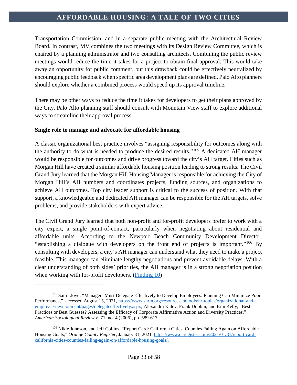Transportation Commission, and in a separate public meeting with the Architectural Review Board. In contrast, MV combines the two meetings with its Design Review Committee, which is chaired by a planning administrator and two consulting architects. Combining the public review meetings would reduce the time it takes for a project to obtain final approval. This would take away an opportunity for public comment, but this drawback could be effectively neutralized by encouraging public feedback when specific area development plans are defined. Palo Alto planners should explore whether a combined process would speed up its approval timeline.

There may be other ways to reduce the time it takes for developers to get their plans approved by the City. Palo Alto planning staff should consult with Mountain View staff to explore additional ways to streamline their approval process.

#### **Single role to manage and advocate for affordable housing**

 $\overline{a}$ 

A classic organizational best practice involves "assigning responsibility for outcomes along with the authority to do what is needed to produce the desired results."[105](#page-33-0) A dedicated AH manager would be responsible for outcomes and drive progress toward the city's AH target. Cities such as Morgan Hill have created a similar affordable housing position leading to strong results. The Civil Grand Jury learned that the Morgan Hill Housing Manager is responsible for achieving the City of Morgan Hill's AH numbers and coordinates projects, funding sources, and organizations to achieve AH outcomes. Top city leader support is critical to the success of position. With that support, a knowledgeable and dedicated AH manager can be responsible for the AH targets, solve problems, and provide stakeholders with expert advice.

The Civil Grand Jury learned that both non-profit and for-profit developers prefer to work with a city expert, a single point-of-contact, particularly when negotiating about residential and affordable units. According to the Newport Beach Community Development Director, "establishing a dialogue with developers on the front end of projects is important."[106](#page-33-1) By consulting with developers, a city's AH manager can understand what they need to make a project feasible. This manager can eliminate lengthy negotiations and prevent avoidable delays. With a clear understanding of both sides' priorities, the AH manager is in a strong negotiation position when working with for-profit developers. [\(Finding 10\)](#page-44-0)

<span id="page-33-0"></span><sup>&</sup>lt;sup>105</sup> Sam Lloyd, "Managers Must Delegate Effectively to Develop Employees: Planning Can Minimize Poor Performance," accessed August 15, 2021, [https://www.shrm.org/resourcesandtools/hr-topics/organizational-and](https://www.shrm.org/resourcesandtools/hr-topics/organizational-and-employee-development/pages/delegateeffectively.aspx)[employee-development/pages/delegateeffectively.aspx;](https://www.shrm.org/resourcesandtools/hr-topics/organizational-and-employee-development/pages/delegateeffectively.aspx) Alexandra Kalev, Frank Dobbin, and Erin Kelly, "Best Practices or Best Guesses? Assessing the Efficacy of Corporate Affirmative Action and Diversity Practices," *American Sociological Review* v. 71, no. 4 (2006), pp. 589-617.

<span id="page-33-1"></span><sup>106</sup> Nikie Johnson, and Jeff Collins, "Report Card: California Cities, Counties Failing Again on Affordable Housing Goals," *Orange County Register,* January 31, 2021[, https://www.ocregister.com/2021/01/31/report-card](https://www.ocregister.com/2021/01/31/report-card-california-cities-counties-failing-again-on-affordable-housing-goals/)[california-cities-counties-failing-again-on-affordable-housing-goals/.](https://www.ocregister.com/2021/01/31/report-card-california-cities-counties-failing-again-on-affordable-housing-goals/)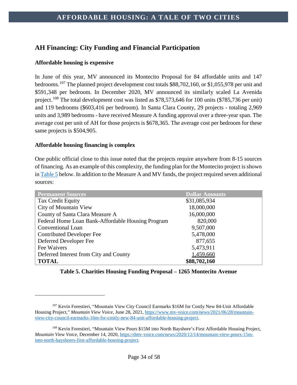# <span id="page-34-0"></span>**AH Financing: City Funding and Financial Participation**

### **Affordable housing is expensive**

In June of this year, MV announced its Montecito Proposal for 84 affordable units and 147 bedrooms.[107](#page-34-3) The planned project development cost totals \$88,702,160, or \$1,055,978 per unit and \$591,348 per bedroom. In December 2020, MV announced its similarly scaled La Avenida project.<sup>[108](#page-34-4)</sup> The total development cost was listed as \$78,573,646 for 100 units (\$785,736 per unit) and 119 bedrooms (\$603,416 per bedroom). In Santa Clara County, 29 projects - totaling 2,969 units and 3,989 bedrooms - have received Measure A funding approval over a three-year span. The average cost per unit of AH for those projects is \$678,365. The average cost per bedroom for these same projects is \$504,905.

#### **Affordable housing financing is complex**

 $\overline{a}$ 

<span id="page-34-1"></span>One public official close to this issue noted that the projects require anywhere from 8-15 sources of financing. As an example of this complexity, the funding plan for the Montecito project is shown i[n Table 5](#page-34-2) below. In addition to the Measure A and MV funds, the project required seven additional sources:

| <b>Permanent Sources</b>                          | <b>Dollar Amounts</b> |
|---------------------------------------------------|-----------------------|
| Tax Credit Equity                                 | \$31,085,934          |
| City of Mountain View                             | 18,000,000            |
| County of Santa Clara Measure A                   | 16,000,000            |
| Federal Home Loan Bank-Affordable Housing Program | 820,000               |
| Conventional Loan                                 | 9,507,000             |
| <b>Contributed Developer Fee</b>                  | 5,478,000             |
| Deferred Developer Fee                            | 877,655               |
| Fee Waivers                                       | 5,473,911             |
| Deferred Interest from City and County            | 1,459,660             |
| <b>TOTAL</b>                                      | \$88,702,160          |

### <span id="page-34-2"></span>**Table 5. Charities Housing Funding Proposal – 1265 Montecito Avenue**

<span id="page-34-3"></span><sup>107</sup> Kevin Forestieri, "Mountain View City Council Earmarks \$16M for Costly New 84-Unit Affordable Housing Project," *Mountain View Voice*, June 28, 2021[, https://www.mv-voice.com/news/2021/06/28/mountain](https://www.mv-voice.com/news/2021/06/28/mountain-view-city-council-earmarks-16m-for-costly-new-84-unit-affordable-housing-project)[view-city-council-earmarks-16m-for-costly-new-84-unit-affordable-housing-project.](https://www.mv-voice.com/news/2021/06/28/mountain-view-city-council-earmarks-16m-for-costly-new-84-unit-affordable-housing-project)

<span id="page-34-4"></span><sup>108</sup> Kevin Forestieri, "Mountain View Pours \$15M into North Bayshore's First Affordable Housing Project, *Mountain View Voice,* December 14, 2020, [https://dmv-voice.com/news/2020/12/14/mountain-view-pours-15m](https://dmv-voice.com/news/2020/12/14/mountain-view-pours-15m-into-north-bayshores-first-affordable-housing-project)[into-north-bayshores-first-affordable-housing-project.](https://dmv-voice.com/news/2020/12/14/mountain-view-pours-15m-into-north-bayshores-first-affordable-housing-project)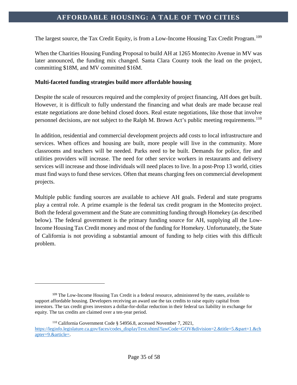The largest source, the Tax Credit Equity, is from a Low-Income Housing Tax Credit Program.<sup>[109](#page-35-0)</sup>

When the Charities Housing Funding Proposal to build AH at 1265 Montecito Avenue in MV was later announced, the funding mix changed. Santa Clara County took the lead on the project, committing \$18M, and MV committed \$16M.

#### **Multi-faceted funding strategies build more affordable housing**

Despite the scale of resources required and the complexity of project financing, AH does get built. However, it is difficult to fully understand the financing and what deals are made because real estate negotiations are done behind closed doors. Real estate negotiations, like those that involve personnel decisions, are not subject to the Ralph M. Brown Act's public meeting requirements.<sup>[110](#page-35-1)</sup>

In addition, residential and commercial development projects add costs to local infrastructure and services. When offices and housing are built, more people will live in the community. More classrooms and teachers will be needed. Parks need to be built. Demands for police, fire and utilities providers will increase. The need for other service workers in restaurants and delivery services will increase and those individuals will need places to live. In a post-Prop 13 world, cities must find ways to fund these services. Often that means charging fees on commercial development projects.

Multiple public funding sources are available to achieve AH goals. Federal and state programs play a central role. A prime example is the federal tax credit program in the Montecito project. Both the federal government and the State are committing funding through Homekey (as described below). The federal government is the primary funding source for AH, supplying all the Low-Income Housing Tax Credit money and most of the funding for Homekey. Unfortunately, the State of California is not providing a substantial amount of funding to help cities with this difficult problem.

<span id="page-35-0"></span><sup>&</sup>lt;sup>109</sup> The Low-Income Housing Tax Credit is a federal resource, administered by the states, available to support affordable housing. Developers receiving an award use the tax credits to raise equity capital from investors. The tax credit gives investors a dollar-for-dollar reduction in their federal tax liability in exchange for equity. The tax credits are claimed over a ten-year period.

<span id="page-35-1"></span><sup>110</sup> California Government Code § 54956.8, accessed November 7, 2021, [https://leginfo.legislature.ca.gov/faces/codes\\_displayText.xhtml?lawCode=GOV&division=2.&title=5.&part=1.&ch](https://leginfo.legislature.ca.gov/faces/codes_displayText.xhtml?lawCode=GOV&division=2.&title=5.&part=1.&chapter=9.&article=) [apter=9.&article=.](https://leginfo.legislature.ca.gov/faces/codes_displayText.xhtml?lawCode=GOV&division=2.&title=5.&part=1.&chapter=9.&article=)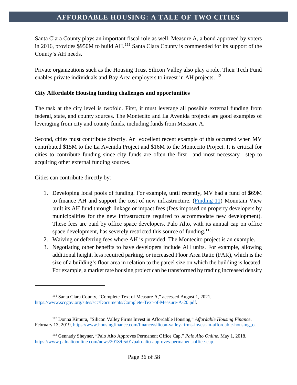Santa Clara County plays an important fiscal role as well. Measure A, a bond approved by voters in 2016, provides \$950M to build AH.<sup>[111](#page-36-0)</sup> Santa Clara County is commended for its support of the County's AH needs.

Private organizations such as the Housing Trust Silicon Valley also play a role. Their Tech Fund enables private individuals and Bay Area employers to invest in AH projects.<sup>[112](#page-36-1)</sup>

#### **City Affordable Housing funding challenges and opportunities**

The task at the city level is twofold. First, it must leverage all possible external funding from federal, state, and county sources. The Montecito and La Avenida projects are good examples of leveraging from city and county funds, including funds from Measure A.

Second, cities must contribute directly. An excellent recent example of this occurred when MV contributed \$15M to the La Avenida Project and \$16M to the Montecito Project. It is critical for cities to contribute funding since city funds are often the first—and most necessary—step to acquiring other external funding sources.

Cities can contribute directly by:

- 1. Developing local pools of funding. For example, until recently, MV had a fund of \$69M to finance AH and support the cost of new infrastructure. [\(Finding 11\)](#page-44-1) Mountain View built its AH fund through linkage or impact fees (fees imposed on property developers by municipalities for the new infrastructure required to accommodate new development). These fees are paid by office space developers. Palo Alto, with its annual cap on office space development, has severely restricted this source of funding.<sup>[113](#page-36-2)</sup>
- 2. Waiving or deferring fees where AH is provided. The Montecito project is an example.
- 3. Negotiating other benefits to have developers include AH units. For example, allowing additional height, less required parking, or increased Floor Area Ratio (FAR), which is the size of a building's floor area in relation to the parcel size on which the building is located. For example, a market rate housing project can be transformed by trading increased density

<span id="page-36-0"></span><sup>111</sup> Santa Clara County, "Complete Text of Measure A," accessed August 1, 2021, [https://www.sccgov.org/sites/scc/Documents/Complete-Text-of-Measure-A-20.pdf.](https://www.sccgov.org/sites/scc/Documents/Complete-Text-of-Measure-A-20.pdf)

<span id="page-36-1"></span><sup>112</sup> Donna Kimura, "Silicon Valley Firms Invest in Affordable Housing," *Affordable Housing Finance,*  February 13, 2019, https://www.housingfinance.com/finance/silicon-valley-firms-invest-in-affordable-housing o.

<span id="page-36-2"></span><sup>113</sup> Gennady Sheyner, "Palo Alto Approves Permanent Office Cap," *Palo Alto Online,* May 1, 2018, [https://www.paloaltoonline.com/news/2018/05/01/palo-alto-approves-permanent-office-cap.](https://www.paloaltoonline.com/news/2018/05/01/palo-alto-approves-permanent-office-cap)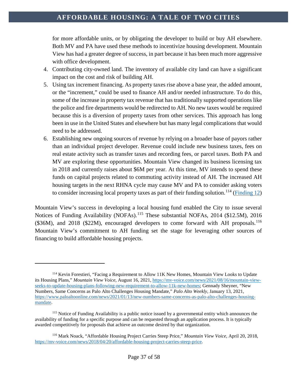for more affordable units, or by obligating the developer to build or buy AH elsewhere. Both MV and PA have used these methods to incentivize housing development. Mountain View has had a greater degree of success, in part because it has been much more aggressive with office development.

- 4. Contributing city-owned land. The inventory of available city land can have a significant impact on the cost and risk of building AH.
- 5. Using tax increment financing. As property taxes rise above a base year, the added amount, or the "increment," could be used to finance AH and/or needed infrastructure. To do this, some of the increase in property tax revenue that has traditionally supported operations like the police and fire departments would be redirected to AH. No new taxes would be required because this is a diversion of property taxes from other services. This approach has long been in use in the United States and elsewhere but has many legal complications that would need to be addressed.
- 6. Establishing new ongoing sources of revenue by relying on a broader base of payors rather than an individual project developer. Revenue could include new business taxes, fees on real estate activity such as transfer taxes and recording fees, or parcel taxes. Both PA and MV are exploring these opportunities. Mountain View changed its business licensing tax in 2018 and currently raises about \$6M per year. At this time, MV intends to spend these funds on capital projects related to commuting activity instead of AH. The increased AH housing targets in the next RHNA cycle may cause MV and PA to consider asking voters to consider increasing local property taxes as part of their funding solution.<sup>[114](#page-37-0)</sup> [\(Finding 12\)](#page-45-0)

Mountain View's success in developing a local housing fund enabled the City to issue several Notices of Funding Availability (NOFAs).[115](#page-37-1) These substantial NOFAs, 2014 (\$12.5M), 2016  $(\$36M)$ , and  $2018$   $(\$22M)$ , encouraged developers to come forward with AH proposals.<sup>[116](#page-37-2)</sup> Mountain View's commitment to AH funding set the stage for leveraging other sources of financing to build affordable housing projects.

<span id="page-37-0"></span><sup>114</sup> Kevin Forestieri, "Facing a Requirement to Allow 11K New Homes, Mountain View Looks to Update its Housing Plans," *Mountain View Voice,* August 16, 2021[, https://mv-voice.com/news/2021/08/16/mountain-view](https://mv-voice.com/news/2021/08/16/mountain-view-seeks-to-update-housing-plans-following-new-requirement-to-allow-11k-new-homes)[seeks-to-update-housing-plans-following-new-requirement-to-allow-11k-new-homes;](https://mv-voice.com/news/2021/08/16/mountain-view-seeks-to-update-housing-plans-following-new-requirement-to-allow-11k-new-homes) Gennady Sheyner, "New Numbers, Same Concerns as Palo Alto Challenges Housing Mandate," *Palo Alto Weekly,* January 13, 2021, [https://www.paloaltoonline.com/news/2021/01/13/new-numbers-same-concerns-as-palo-alto-challenges-housing](https://www.paloaltoonline.com/news/2021/01/13/new-numbers-same-concerns-as-palo-alto-challenges-housing-mandate)[mandate.](https://www.paloaltoonline.com/news/2021/01/13/new-numbers-same-concerns-as-palo-alto-challenges-housing-mandate)

<span id="page-37-1"></span><sup>&</sup>lt;sup>115</sup> Notice of Funding Availability is a public notice issued by a governmental entity which announces the availability of funding for a specific purpose and can be requested through an application process. It is typically awarded competitively for proposals that achieve an outcome desired by that organization.

<span id="page-37-2"></span><sup>116</sup> Mark Noack, "Affordable Housing Project Carries Steep Price," *Mountain View Voice,* April 20, 2018, [https://mv-voice.com/news/2018/04/20/affordable-housing-project-carries-steep-price.](https://mv-voice.com/news/2018/04/20/affordable-housing-project-carries-steep-price)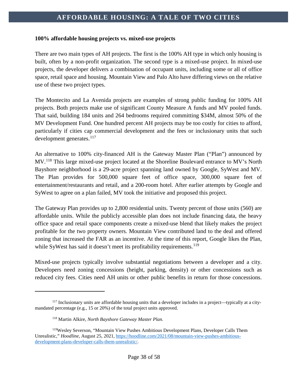#### **100% affordable housing projects vs. mixed-use projects**

There are two main types of AH projects. The first is the 100% AH type in which only housing is built, often by a non-profit organization. The second type is a mixed-use project. In mixed-use projects, the developer delivers a combination of occupant units, including some or all of office space, retail space and housing. Mountain View and Palo Alto have differing views on the relative use of these two project types.

The Montecito and La Avenida projects are examples of strong public funding for 100% AH projects. Both projects make use of significant County Measure A funds and MV pooled funds. That said, building 184 units and 264 bedrooms required committing \$34M, almost 50% of the MV Development Fund. One hundred percent AH projects may be too costly for cities to afford, particularly if cities cap commercial development and the fees or inclusionary units that such development generates.<sup>[117](#page-38-0)</sup>

An alternative to 100% city-financed AH is the Gateway Master Plan ("Plan") announced by MV.<sup>[118](#page-38-1)</sup> This large mixed-use project located at the Shoreline Boulevard entrance to MV's North Bayshore neighborhood is a 29-acre project spanning land owned by Google, SyWest and MV. The Plan provides for 500,000 square feet of office space, 300,000 square feet of entertainment/restaurants and retail, and a 200-room hotel. After earlier attempts by Google and SyWest to agree on a plan failed, MV took the initiative and proposed this project.

The Gateway Plan provides up to 2,800 residential units. Twenty percent of those units (560) are affordable units. While the publicly accessible plan does not include financing data, the heavy office space and retail space components create a mixed-use blend that likely makes the project profitable for the two property owners. Mountain View contributed land to the deal and offered zoning that increased the FAR as an incentive. At the time of this report, Google likes the Plan, while SyWest has said it doesn't meet its profitability requirements.<sup>[119](#page-38-2)</sup>

Mixed-use projects typically involve substantial negotiations between a developer and a city. Developers need zoning concessions (height, parking, density) or other concessions such as reduced city fees. Cities need AH units or other public benefits in return for those concessions.

<span id="page-38-0"></span><sup>&</sup>lt;sup>117</sup> Inclusionary units are affordable housing units that a developer includes in a project—typically at a citymandated percentage (e.g., 15 or 20%) of the total project units approved.

<sup>118</sup> Martin Alkire, *North Bayshore Gateway Master Plan.*

<span id="page-38-2"></span><span id="page-38-1"></span><sup>119</sup>Wesley Severson, "Mountain View Pushes Ambitious Development Plans, Developer Calls Them Unrealistic," *Hoodline*, August 25, 2021, [https://hoodline.com/2021/08/mountain-view-pushes-ambitious](https://hoodline.com/2021/08/mountain-view-pushes-ambitious-development-plans-developer-calls-them-unrealistic/)[development-plans-developer-calls-them-unrealistic/.](https://hoodline.com/2021/08/mountain-view-pushes-ambitious-development-plans-developer-calls-them-unrealistic/)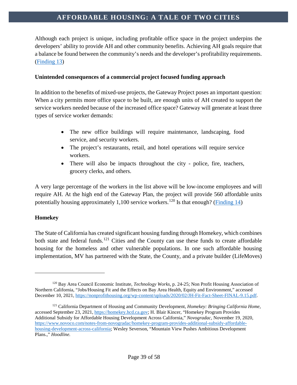Although each project is unique, including profitable office space in the project underpins the developers' ability to provide AH and other community benefits. Achieving AH goals require that a balance be found between the community's needs and the developer's profitability requirements. [\(Finding 13\)](#page-45-1)

### **Unintended consequences of a commercial project focused funding approach**

In addition to the benefits of mixed-use projects, the Gateway Project poses an important question: When a city permits more office space to be built, are enough units of AH created to support the service workers needed because of the increased office space? Gateway will generate at least three types of service worker demands:

- The new office buildings will require maintenance, landscaping, food service, and security workers.
- The project's restaurants, retail, and hotel operations will require service workers.
- There will also be impacts throughout the city police, fire, teachers, grocery clerks, and others.

A very large percentage of the workers in the list above will be low-income employees and will require AH. At the high end of the Gateway Plan, the project will provide 560 affordable units potentially housing approximately 1,100 service workers.<sup>[120](#page-39-0)</sup> Is that enough? [\(Finding 14\)](#page-45-2)

#### **Homekey**

 $\overline{a}$ 

The State of California has created significant housing funding through Homekey, which combines both state and federal funds.<sup>[121](#page-39-1)</sup> Cities and the County can use these funds to create affordable housing for the homeless and other vulnerable populations. In one such affordable housing implementation, MV has partnered with the State, the County, and a private builder (LifeMoves)

<span id="page-39-0"></span><sup>120</sup> Bay Area Council Economic Institute, *Technology Works*, p. 24-25; Non Profit Housing Association of Northern California, "Jobs/Housing Fit and the Effects on Bay Area Health, Equity and Environment," accessed December 10, 2021[, https://nonprofithousing.org/wp-content/uploads/2020/02/JH-Fit-Fact-Sheet-FINAL-9.15.pdf.](https://nonprofithousing.org/wp-content/uploads/2020/02/JH-Fit-Fact-Sheet-FINAL-9.15.pdf)

<span id="page-39-1"></span><sup>121</sup> California Department of Housing and Community Development, *Homekey: Bringing California Home,* accessed September 23, 2021[, https://homekey.hcd.ca.gov;](https://homekey.hcd.ca.gov/) H. Blair Kincer, "Homekey Program Provides Additional Subsidy for Affordable Housing Development Across California," *Novogradac*, November 19, 2020, [https://www.novoco.com/notes-from-novogradac/homekey-program-provides-additional-subsidy-affordable](https://www.novoco.com/notes-from-novogradac/homekey-program-provides-additional-subsidy-affordable-housing-development-across-california)[housing-development-across-california;](https://www.novoco.com/notes-from-novogradac/homekey-program-provides-additional-subsidy-affordable-housing-development-across-california) Wesley Severson, "Mountain View Pushes Ambitious Development Plans.," *Hoodline.*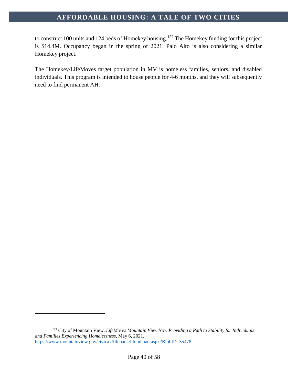to construct 100 units and 124 beds of Homekey housing.<sup>[122](#page-40-0)</sup> The Homekey funding for this project is \$14.4M. Occupancy began in the spring of 2021. Palo Alto is also considering a similar Homekey project.

The Homekey/LifeMoves target population in MV is homeless families, seniors, and disabled individuals. This program is intended to house people for 4-6 months, and they will subsequently need to find permanent AH.

<span id="page-40-0"></span><sup>122</sup> City of Mountain View, *LifeMoves Mountain View Now Providing a Path to Stability for Individuals and Families Experiencing Homelessness*, May 6, 2021, [https://www.mountainview.gov/civicax/filebank/blobdload.aspx?BlobID=35478.](https://www.mountainview.gov/civicax/filebank/blobdload.aspx?BlobID=35478)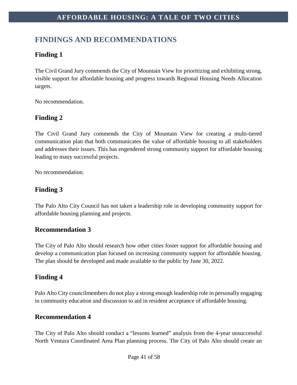# <span id="page-41-0"></span>**FINDINGS AND RECOMMENDATIONS**

# <span id="page-41-1"></span>**Finding 1**

The Civil Grand Jury commends the City of Mountain View for prioritizing and exhibiting strong, visible support for affordable housing and progress towards Regional Housing Needs Allocation targets.

No recommendation.

# <span id="page-41-2"></span>**Finding 2**

The Civil Grand Jury commends the City of Mountain View for creating a multi-tiered communication plan that both communicates the value of affordable housing to all stakeholders and addresses their issues. This has engendered strong community support for affordable housing leading to many successful projects.

No recommendation.

# <span id="page-41-3"></span>**Finding 3**

The Palo Alto City Council has not taken a leadership role in developing community support for affordable housing planning and projects.

# **Recommendation 3**

The City of Palo Alto should research how other cities foster support for affordable housing and develop a communication plan focused on increasing community support for affordable housing. The plan should be developed and made available to the public by June 30, 2022.

# <span id="page-41-4"></span>**Finding 4**

Palo Alto City councilmembers do not play a strong enough leadership role in personally engaging in community education and discussion to aid in resident acceptance of affordable housing.

### **Recommendation 4**

The City of Palo Alto should conduct a "lessons learned" analysis from the 4-year unsuccessful North Ventura Coordinated Area Plan planning process. The City of Palo Alto should create an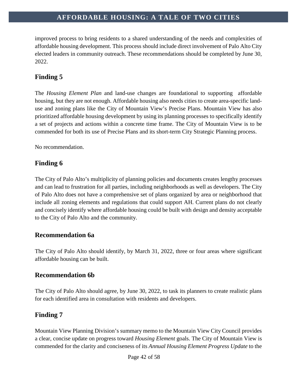improved process to bring residents to a shared understanding of the needs and complexities of affordable housing development. This process should include direct involvement of Palo Alto City elected leaders in community outreach. These recommendations should be completed by June 30, 2022.

# <span id="page-42-0"></span>**Finding 5**

The *Housing Element Plan* and land-use changes are foundational to supporting affordable housing, but they are not enough. Affordable housing also needs cities to create area-specific landuse and zoning plans like the City of Mountain View's Precise Plans. Mountain View has also prioritized affordable housing development by using its planning processes to specifically identify a set of projects and actions within a concrete time frame. The City of Mountain View is to be commended for both its use of Precise Plans and its short-term City Strategic Planning process.

No recommendation.

### <span id="page-42-1"></span>**Finding 6**

The City of Palo Alto's multiplicity of planning policies and documents creates lengthy processes and can lead to frustration for all parties, including neighborhoods as well as developers. The City of Palo Alto does not have a comprehensive set of plans organized by area or neighborhood that include all zoning elements and regulations that could support AH. Current plans do not clearly and concisely identify where affordable housing could be built with design and density acceptable to the City of Palo Alto and the community.

### **Recommendation 6a**

The City of Palo Alto should identify, by March 31, 2022, three or four areas where significant affordable housing can be built.

# **Recommendation 6b**

The City of Palo Alto should agree, by June 30, 2022, to task its planners to create realistic plans for each identified area in consultation with residents and developers.

# <span id="page-42-2"></span>**Finding 7**

Mountain View Planning Division's summary memo to the Mountain View City Council provides a clear, concise update on progress toward *Housing Element* goals. The City of Mountain View is commended for the clarity and conciseness of its *Annual Housing Element Progress Update* to the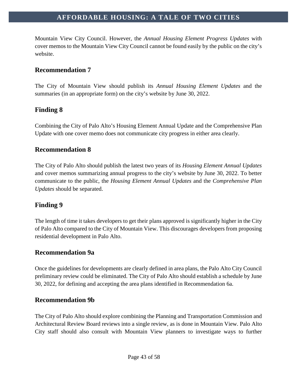Mountain View City Council. However, the *Annual Housing Element Progress Updates* with cover memos to the Mountain View City Council cannot be found easily by the public on the city's website.

### **Recommendation 7**

The City of Mountain View should publish its *Annual Housing Element Updates* and the summaries (in an appropriate form) on the city's website by June 30, 2022.

# <span id="page-43-0"></span>**Finding 8**

Combining the City of Palo Alto's Housing Element Annual Update and the Comprehensive Plan Update with one cover memo does not communicate city progress in either area clearly.

### **Recommendation 8**

The City of Palo Alto should publish the latest two years of its *Housing Element Annual Updates* and cover memos summarizing annual progress to the city's website by June 30, 2022. To better communicate to the public, the *Housing Element Annual Updates* and the *Comprehensive Plan Updates* should be separated.

### <span id="page-43-1"></span>**Finding 9**

The length of time it takes developers to get their plans approved is significantly higher in the City of Palo Alto compared to the City of Mountain View. This discourages developers from proposing residential development in Palo Alto.

### **Recommendation 9a**

Once the guidelines for developments are clearly defined in area plans, the Palo Alto City Council preliminary review could be eliminated. The City of Palo Alto should establish a schedule by June 30, 2022, for defining and accepting the area plans identified in Recommendation 6a.

### **Recommendation 9b**

The City of Palo Alto should explore combining the Planning and Transportation Commission and Architectural Review Board reviews into a single review, as is done in Mountain View. Palo Alto City staff should also consult with Mountain View planners to investigate ways to further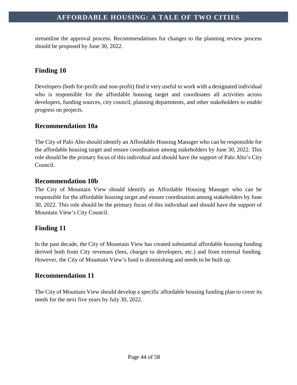streamline the approval process. Recommendations for changes to the planning review process should be proposed by June 30, 2022.

# <span id="page-44-0"></span>**Finding 10**

Developers (both for-profit and non-profit) find it very useful to work with a designated individual who is responsible for the affordable housing target and coordinates all activities across developers, funding sources, city council, planning departments, and other stakeholders to enable progress on projects.

### **Recommendation 10a**

The City of Palo Alto should identify an Affordable Housing Manager who can be responsible for the affordable housing target and ensure coordination among stakeholders by June 30, 2022. This role should be the primary focus of this individual and should have the support of Palo Alto's City Council.

### **Recommendation 10b**

The City of Mountain View should identify an Affordable Housing Manager who can be responsible for the affordable housing target and ensure coordination among stakeholders by June 30, 2022. This role should be the primary focus of this individual and should have the support of Mountain View's City Council.

# <span id="page-44-1"></span>**Finding 11**

In the past decade, the City of Mountain View has created substantial affordable housing funding derived both from City revenues (fees, charges to developers, etc.) and from external funding. However, the City of Mountain View's fund is diminishing and needs to be built up.

### **Recommendation 11**

The City of Mountain View should develop a specific affordable housing funding plan to cover its needs for the next five years by July 30, 2022.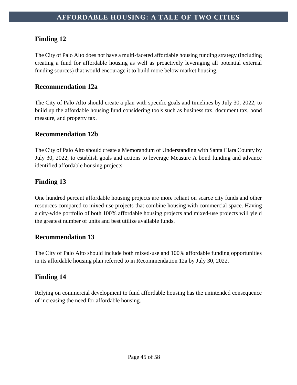# <span id="page-45-0"></span>**Finding 12**

The City of Palo Alto does not have a multi-faceted affordable housing funding strategy (including creating a fund for affordable housing as well as proactively leveraging all potential external funding sources) that would encourage it to build more below market housing.

### **Recommendation 12a**

The City of Palo Alto should create a plan with specific goals and timelines by July 30, 2022, to build up the affordable housing fund considering tools such as business tax, document tax, bond measure*,* and property tax.

### **Recommendation 12b**

The City of Palo Alto should create a Memorandum of Understanding with Santa Clara County by July 30, 2022, to establish goals and actions to leverage Measure A bond funding and advance identified affordable housing projects.

# <span id="page-45-1"></span>**Finding 13**

One hundred percent affordable housing projects are more reliant on scarce city funds and other resources compared to mixed-use projects that combine housing with commercial space. Having a city-wide portfolio of both 100% affordable housing projects and mixed-use projects will yield the greatest number of units and best utilize available funds.

### **Recommendation 13**

The City of Palo Alto should include both mixed-use and 100% affordable funding opportunities in its affordable housing plan referred to in Recommendation 12a by July 30, 2022.

# <span id="page-45-2"></span>**Finding 14**

Relying on commercial development to fund affordable housing has the unintended consequence of increasing the need for affordable housing.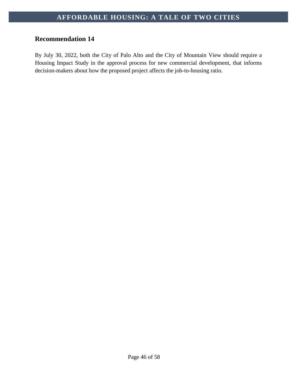# **Recommendation 14**

By July 30, 2022, both the City of Palo Alto and the City of Mountain View should require a Housing Impact Study in the approval process for new commercial development, that informs decision-makers about how the proposed project affects the job-to-housing ratio.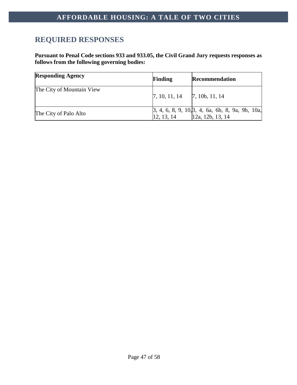# <span id="page-47-0"></span>**REQUIRED RESPONSES**

**Pursuant to Penal Code sections 933 and 933.05, the Civil Grand Jury requests responses as follows from the following governing bodies:**

| <b>Responding Agency</b>  | <b>Finding</b>                      | <b>Recommendation</b>                                                                                            |
|---------------------------|-------------------------------------|------------------------------------------------------------------------------------------------------------------|
| The City of Mountain View | $[7, 10, 11, 14$ $[7, 10b, 11, 14]$ |                                                                                                                  |
| The City of Palo Alto     |                                     | $\begin{bmatrix} 3, 4, 6, 8, 9, 10, 3, 4, 6a, 6b, 8, 9a, 9b, 10a, \\ 12, 13, 14 \end{bmatrix}$ [12a, 12b, 13, 14 |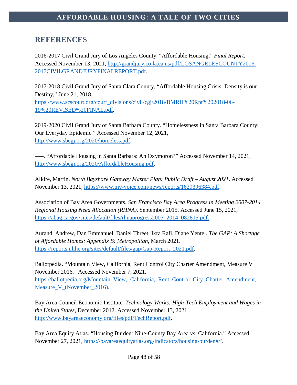# <span id="page-48-0"></span>**REFERENCES**

2016-2017 Civil Grand Jury of Los Angeles County. "Affordable Housing," *Final Report*. Accessed November 13, 2021, [http://grandjury.co.la.ca.us/pdf/LOSANGELESCOUNTY2016-](http://grandjury.co.la.ca.us/pdf/LOSANGELESCOUNTY2016-2017CIVILGRANDJURYFINALREPORT.pdf) [2017CIVILGRANDJURYFINALREPORT.pdf.](http://grandjury.co.la.ca.us/pdf/LOSANGELESCOUNTY2016-2017CIVILGRANDJURYFINALREPORT.pdf)

2017-2018 Civil Grand Jury of Santa Clara County, "Affordable Housing Crisis: Density is our Destiny," June 21, 2018. [https://www.scscourt.org/court\\_divisions/civil/cgj/2018/BMRH%20Rpt%202018-06-](https://www.scscourt.org/court_divisions/civil/cgj/2018/BMRH%20Rpt%202018-06-19%20REVISED%20FINAL.pdf) [19%20REVISED%20FINAL.pdf.](https://www.scscourt.org/court_divisions/civil/cgj/2018/BMRH%20Rpt%202018-06-19%20REVISED%20FINAL.pdf)

2019-2020 Civil Grand Jury of Santa Barbara County. "Homelessness in Santa Barbara County: Our Everyday Epidemic*.*" Accessed November 12, 2021, [http://www.sbcgj.org/2020/homeless.pdf.](http://www.sbcgj.org/2020/homeless.pdf)

–––. "Affordable Housing in Santa Barbara: An Oxymoron?" Accessed November 14, 2021, [http://www.sbcgj.org/2020/AffordableHousing.pdf.](http://www.sbcgj.org/2020/AffordableHousing.pdf)

Alkire, Martin. *North Bayshore Gateway Master Plan: Public Draft – August 2021*. Accessed November 13, 2021, [https://www.mv-voice.com/news/reports/1629396384.pdf.](https://www.mv-voice.com/news/reports/1629396384.pdf)

Association of Bay Area Governments. *San Francisco Bay Area Progress in Meeting 2007-2014 Regional Housing Need Allocation (RHNA)*, September 2015. Accessed June 15, 2021, [https://abag.ca.gov/sites/default/files/rhnaprogress2007\\_2014\\_082815.pdf.](https://abag.ca.gov/sites/default/files/rhnaprogress2007_2014_082815.pdf)

Aurand, Andrew, Dan Emmanuel, Daniel Threet, Ikra Rafi, Diane Yentel. *The GAP: A Shortage of Affordable Homes: Appendix B: Metropolitan*, March 2021. [https://reports.nlihc.org/sites/default/files/gap/Gap-Report\\_2021.pdf.](https://reports.nlihc.org/sites/default/files/gap/Gap-Report_2021.pdf)

Ballotpedia. "Mountain View, California, Rent Control City Charter Amendment, Measure V November 2016." Accessed November 7, 2021, [https://ballotpedia.org/Mountain\\_View,\\_California,\\_Rent\\_Control\\_City\\_Charter\\_Amendment,\\_](https://ballotpedia.org/Mountain_View,_California,_Rent_Control_City_Charter_Amendment,_Measure_V_(November_2016)) [Measure\\_V\\_\(November\\_2016\).](https://ballotpedia.org/Mountain_View,_California,_Rent_Control_City_Charter_Amendment,_Measure_V_(November_2016))

Bay Area Council Economic Institute. *Technology Works: High-Tech Employment and Wages in the United States*, December 2012. Accessed November 13, 2021, [http://www.bayareaeconomy.org/files/pdf/TechReport.pdf.](http://www.bayareaeconomy.org/files/pdf/TechReport.pdf)

Bay Area Equity Atlas. "Housing Burden: Nine-County Bay Area vs. California." Accessed November 27, 2021, [https://bayareaequityatlas.org/indicators/housing-burden#/'](https://bayareaequityatlas.org/indicators/housing-burden#/).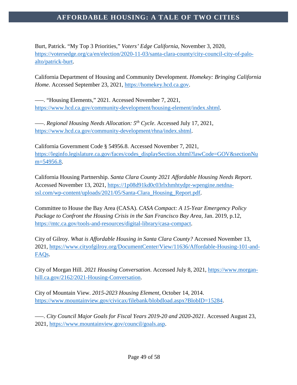Burt, Patrick. "My Top 3 Priorities," *Voters' Edge California,* November 3, 2020, [https://votersedge.org/ca/en/election/2020-11-03/santa-clara-county/city-council-city-of-palo](https://votersedge.org/ca/en/election/2020-11-03/santa-clara-county/city-council-city-of-palo-alto/patrick-burt)[alto/patrick-burt.](https://votersedge.org/ca/en/election/2020-11-03/santa-clara-county/city-council-city-of-palo-alto/patrick-burt)

California Department of Housing and Community Development. *Homekey: Bringing California Home*. Accessed September 23, 2021, [https://homekey.hcd.ca.gov.](https://homekey.hcd.ca.gov/)

–––. "Housing Elements," 2021. Accessed November 7, 2021, [https://www.hcd.ca.gov/community-development/housing-element/index.shtml.](https://www.hcd.ca.gov/community-development/housing-element/index.shtml)

–––. *Regional Housing Needs Allocation: 5th Cycle*. Accessed July 17, 2021, [https://www.hcd.ca.gov/community-development/rhna/index.shtml.](https://www.hcd.ca.gov/community-development/rhna/index.shtml)

California Government Code § 54956.8. Accessed November 7, 2021, [https://leginfo.legislature.ca.gov/faces/codes\\_displaySection.xhtml?lawCode=GOV&sectionNu](https://leginfo.legislature.ca.gov/faces/codes_displaySection.xhtml?lawCode=GOV§ionNum=54956.8) [m=54956.8.](https://leginfo.legislature.ca.gov/faces/codes_displaySection.xhtml?lawCode=GOV§ionNum=54956.8)

California Housing Partnership. *Santa Clara County 2021 Affordable Housing Needs Report*. Accessed November 13, 2021, [https://1p08d91kd0c03rlxhmhtydpr-wpengine.netdna](https://1p08d91kd0c03rlxhmhtydpr-wpengine.netdna-ssl.com/wp-content/uploads/2021/05/Santa-Clara_Housing_Report.pdf)ssl.com/wp-content/uploads/2021/05/Santa-Clara Housing Report.pdf.

Committee to House the Bay Area (CASA). *CASA Compact: A 15-Year Emergency Policy Package to Confront the Housing Crisis in the San Francisco Bay Area*, Jan. 2019, p.12, [https://mtc.ca.gov/tools-and-resources/digital-library/casa-compact.](https://mtc.ca.gov/tools-and-resources/digital-library/casa-compact)

City of Gilroy. *What is Affordable Housing in Santa Clara County?* Accessed November 13, 2021, [https://www.cityofgilroy.org/DocumentCenter/View/11636/Affordable-Housing-101-and-](https://www.cityofgilroy.org/DocumentCenter/View/11636/Affordable-Housing-101-and-FAQs)[FAQs.](https://www.cityofgilroy.org/DocumentCenter/View/11636/Affordable-Housing-101-and-FAQs)

City of Morgan Hill. *2021 Housing Conversation*. Accessed July 8, 2021, [https://www.morgan](https://www.morgan-hill.ca.gov/2162/2021-Housing-Conversation)[hill.ca.gov/2162/2021-Housing-Conversation.](https://www.morgan-hill.ca.gov/2162/2021-Housing-Conversation)

City of Mountain View. *2015-2023 Housing Element*, October 14, 2014. [https://www.mountainview.gov/civicax/filebank/blobdload.aspx?BlobID=15284.](https://www.mountainview.gov/civicax/filebank/blobdload.aspx?BlobID=15284)

–––. *City Council Major Goals for Fiscal Years 2019-20 and 2020-2021*. Accessed August 23, 2021, [https://www.mountainview.gov/council/goals.asp.](https://www.mountainview.gov/council/goals.asp)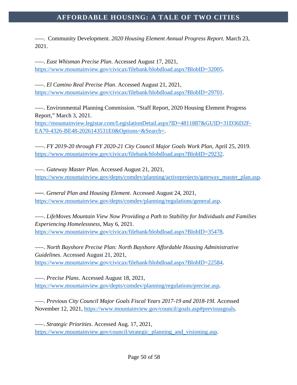–––. Community Development. *2020 Housing Element Annual Progress Report.* March 23, 2021.

–––. *East Whisman Precise Plan*. Accessed August 17, 2021, [https://www.mountainview.gov/civicax/filebank/blobdload.aspx?BlobID=32005.](https://www.mountainview.gov/civicax/filebank/blobdload.aspx?BlobID=32005)

–––. *El Camino Real Precise Plan*. Accessed August 21, 2021, [https://www.mountainview.gov/civicax/filebank/blobdload.aspx?BlobID=29701.](https://www.mountainview.gov/civicax/filebank/blobdload.aspx?BlobID=29701)

–––. Environmental Planning Commission. "Staff Report, 2020 Housing Element Progress Report," March 3, 2021.

[https://mountainview.legistar.com/LegislationDetail.aspx?ID=4811887&GUID=31D36D2F-](https://mountainview.legistar.com/LegislationDetail.aspx?ID=4811887&GUID=31D36D2F-EA70-4326-BE48-2026143531E0&Options=&Search=)[EA70-4326-BE48-2026143531E0&Options=&Search=.](https://mountainview.legistar.com/LegislationDetail.aspx?ID=4811887&GUID=31D36D2F-EA70-4326-BE48-2026143531E0&Options=&Search=)

–––. *FY 2019-20 through FY 2020-21 City Council Major Goals Work Plan*, April 25, 2019. [https://www.mountainview.gov/civicax/filebank/blobdload.aspx?BlobID=29232.](https://www.mountainview.gov/civicax/filebank/blobdload.aspx?BlobID=29232)

–––. *Gateway Master Plan*. Accessed August 21, 2021, [https://www.mountainview.gov/depts/comdev/planning/activeprojects/gateway\\_master\\_plan.asp.](https://www.mountainview.gov/depts/comdev/planning/activeprojects/gateway_master_plan.asp)

–––. *General Plan and Housing Element*. Accessed August 24, 2021, [https://www.mountainview.gov/depts/comdev/planning/regulations/general.asp.](https://www.mountainview.gov/depts/comdev/planning/regulations/general.asp)

–––. *LifeMoves Mountain View Now Providing a Path to Stability for Individuals and Families Experiencing Homelessness*, May 6, 2021. [https://www.mountainview.gov/civicax/filebank/blobdload.aspx?BlobID=35478.](https://www.mountainview.gov/civicax/filebank/blobdload.aspx?BlobID=35478)

–––. *North Bayshore Precise Plan: North Bayshore Affordable Housing Administrative Guidelines*. Accessed August 21, 2021, [https://www.mountainview.gov/civicax/filebank/blobdload.aspx?BlobID=22584.](https://www.mountainview.gov/civicax/filebank/blobdload.aspx?BlobID=22584)

–––. *Precise Plans*. Accessed August 18, 2021, [https://www.mountainview.gov/depts/comdev/planning/regulations/precise.asp.](https://www.mountainview.gov/depts/comdev/planning/regulations/precise.asp)

–––. *Previous City Council Major Goals Fiscal Years 2017-19 and 2018-19I.* Accessed November 12, 2021, [https://www.mountainview.gov/council/goals.asp#previousgoals.](https://www.mountainview.gov/council/goals.asp#previousgoals)

–––. *Strategic Priorities*. Accessed Aug. 17, 2021, [https://www.mountainview.gov/council/strategic\\_planning\\_and\\_visioning.asp.](https://www.mountainview.gov/council/strategic_planning_and_visioning.asp)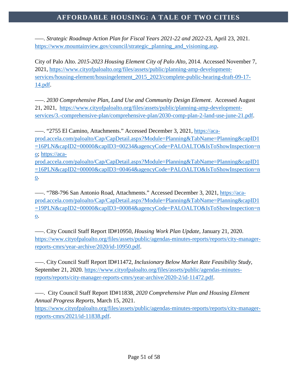–––. *Strategic Roadmap Action Plan for Fiscal Years 2021-22 and 2022-*23, April 23, 2021. [https://www.mountainview.gov/council/strategic\\_planning\\_and\\_visioning.asp.](https://www.mountainview.gov/council/strategic_planning_and_visioning.asp)

City of Palo Alto. *2015-2023 Housing Element City of Palo Alto*, 2014. Accessed November 7, 2021, [https://www.cityofpaloalto.org/files/assets/public/planning-amp-development](https://www.cityofpaloalto.org/files/assets/public/planning-amp-development-services/housing-element/housingelement_2015_2023/complete-public-hearing-draft-09-17-14.pdf)[services/housing-element/housingelement\\_2015\\_2023/complete-public-hearing-draft-09-17-](https://www.cityofpaloalto.org/files/assets/public/planning-amp-development-services/housing-element/housingelement_2015_2023/complete-public-hearing-draft-09-17-14.pdf) [14.pdf.](https://www.cityofpaloalto.org/files/assets/public/planning-amp-development-services/housing-element/housingelement_2015_2023/complete-public-hearing-draft-09-17-14.pdf)

–––. *2030 Comprehensive Plan, Land Use and Community Design Element*. Accessed August 21, 2021, [https://www.cityofpaloalto.org/files/assets/public/planning-amp-development](https://www.cityofpaloalto.org/files/assets/public/planning-amp-development-services/3.-comprehensive-plan/comprehensive-plan/2030-comp-plan-2-land-use-june-21.pdf)[services/3.-comprehensive-plan/comprehensive-plan/2030-comp-plan-2-land-use-june-21.pdf.](https://www.cityofpaloalto.org/files/assets/public/planning-amp-development-services/3.-comprehensive-plan/comprehensive-plan/2030-comp-plan-2-land-use-june-21.pdf)

–––. "2755 El Camino, Attachments." Accessed December 3, 2021, [https://aca](https://aca-prod.accela.com/paloalto/Cap/CapDetail.aspx?Module=Planning&TabName=Planning&capID1=16PLN&capID2=00000&capID3=00234&agencyCode=PALOALTO&IsToShowInspection=no)[prod.accela.com/paloalto/Cap/CapDetail.aspx?Module=Planning&TabName=Planning&capID1](https://aca-prod.accela.com/paloalto/Cap/CapDetail.aspx?Module=Planning&TabName=Planning&capID1=16PLN&capID2=00000&capID3=00234&agencyCode=PALOALTO&IsToShowInspection=no) [=16PLN&capID2=00000&capID3=00234&agencyCode=PALOALTO&IsToShowInspection=n](https://aca-prod.accela.com/paloalto/Cap/CapDetail.aspx?Module=Planning&TabName=Planning&capID1=16PLN&capID2=00000&capID3=00234&agencyCode=PALOALTO&IsToShowInspection=no) [o;](https://aca-prod.accela.com/paloalto/Cap/CapDetail.aspx?Module=Planning&TabName=Planning&capID1=16PLN&capID2=00000&capID3=00234&agencyCode=PALOALTO&IsToShowInspection=no) [https://aca](https://aca-prod.accela.com/paloalto/Cap/CapDetail.aspx?Module=Planning&TabName=Planning&capID1=16PLN&capID2=00000&capID3=00464&agencyCode=PALOALTO&IsToShowInspection=no)[prod.accela.com/paloalto/Cap/CapDetail.aspx?Module=Planning&TabName=Planning&capID1](https://aca-prod.accela.com/paloalto/Cap/CapDetail.aspx?Module=Planning&TabName=Planning&capID1=16PLN&capID2=00000&capID3=00464&agencyCode=PALOALTO&IsToShowInspection=no) [=16PLN&capID2=00000&capID3=00464&agencyCode=PALOALTO&IsToShowInspection=n](https://aca-prod.accela.com/paloalto/Cap/CapDetail.aspx?Module=Planning&TabName=Planning&capID1=16PLN&capID2=00000&capID3=00464&agencyCode=PALOALTO&IsToShowInspection=no) [o.](https://aca-prod.accela.com/paloalto/Cap/CapDetail.aspx?Module=Planning&TabName=Planning&capID1=16PLN&capID2=00000&capID3=00464&agencyCode=PALOALTO&IsToShowInspection=no)

–––. "788-796 San Antonio Road, Attachments." Accessed December 3, 2021, [https://aca](https://aca-prod.accela.com/paloalto/Cap/CapDetail.aspx?Module=Planning&TabName=Planning&capID1=19PLN&capID2=00000&capID3=00084&agencyCode=PALOALTO&IsToShowInspection=no)[prod.accela.com/paloalto/Cap/CapDetail.aspx?Module=Planning&TabName=Planning&capID1](https://aca-prod.accela.com/paloalto/Cap/CapDetail.aspx?Module=Planning&TabName=Planning&capID1=19PLN&capID2=00000&capID3=00084&agencyCode=PALOALTO&IsToShowInspection=no) [=19PLN&capID2=00000&capID3=00084&agencyCode=PALOALTO&IsToShowInspection=n](https://aca-prod.accela.com/paloalto/Cap/CapDetail.aspx?Module=Planning&TabName=Planning&capID1=19PLN&capID2=00000&capID3=00084&agencyCode=PALOALTO&IsToShowInspection=no) [o.](https://aca-prod.accela.com/paloalto/Cap/CapDetail.aspx?Module=Planning&TabName=Planning&capID1=19PLN&capID2=00000&capID3=00084&agencyCode=PALOALTO&IsToShowInspection=no)

–––. City Council Staff Report ID#10950, *Housing Work Plan Update*, January 21, 2020. [https://www.cityofpaloalto.org/files/assets/public/agendas-minutes-reports/reports/city-manager](https://www.cityofpaloalto.org/files/assets/public/agendas-minutes-reports/reports/city-manager-reports-cmrs/year-archive/2020/id-10950.pdf)[reports-cmrs/year-archive/2020/id-10950.pdf.](https://www.cityofpaloalto.org/files/assets/public/agendas-minutes-reports/reports/city-manager-reports-cmrs/year-archive/2020/id-10950.pdf)

–––. City Council Staff Report ID#11472, *Inclusionary Below Market Rate Feasibility Study*, September 21, 2020. [https://www.cityofpaloalto.org/files/assets/public/agendas-minutes](https://www.cityofpaloalto.org/files/assets/public/agendas-minutes-reports/reports/city-manager-reports-cmrs/year-archive/2020-2/id-11472.pdf)[reports/reports/city-manager-reports-cmrs/year-archive/2020-2/id-11472.pdf.](https://www.cityofpaloalto.org/files/assets/public/agendas-minutes-reports/reports/city-manager-reports-cmrs/year-archive/2020-2/id-11472.pdf)

–––. City Council Staff Report ID#11838, *2020 Comprehensive Plan and Housing Element Annual Progress Reports*, March 15, 2021. [https://www.cityofpaloalto.org/files/assets/public/agendas-minutes-reports/reports/city-manager-](https://www.cityofpaloalto.org/files/assets/public/agendas-minutes-reports/reports/city-manager-reports-cmrs/2021/id-11838.pdf)

[reports-cmrs/2021/id-11838.pdf.](https://www.cityofpaloalto.org/files/assets/public/agendas-minutes-reports/reports/city-manager-reports-cmrs/2021/id-11838.pdf)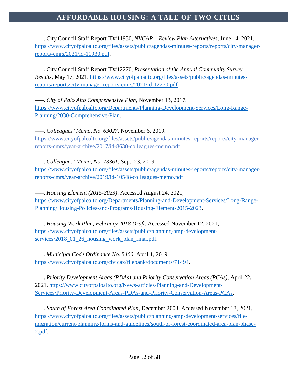–––. City Council Staff Report ID#11930, *NVCAP – Review Plan Alternatives*, June 14, 2021. [https://www.cityofpaloalto.org/files/assets/public/agendas-minutes-reports/reports/city-manager](https://www.cityofpaloalto.org/files/assets/public/agendas-minutes-reports/reports/city-manager-reports-cmrs/2021/id-11930.pdf)[reports-cmrs/2021/id-11930.pdf.](https://www.cityofpaloalto.org/files/assets/public/agendas-minutes-reports/reports/city-manager-reports-cmrs/2021/id-11930.pdf)

–––. City Council Staff Report ID#12270, *Presentation of the Annual Community Survey Results*, May 17, 2021. [https://www.cityofpaloalto.org/files/assets/public/agendas-minutes](https://www.cityofpaloalto.org/files/assets/public/agendas-minutes-reports/reports/city-manager-reports-cmrs/2021/id-12270.pdf)[reports/reports/city-manager-reports-cmrs/2021/id-12270.pdf.](https://www.cityofpaloalto.org/files/assets/public/agendas-minutes-reports/reports/city-manager-reports-cmrs/2021/id-12270.pdf)

–––. *City of Palo Alto Comprehensive Plan*, November 13, 2017. [https://www.cityofpaloalto.org/Departments/Planning-Development-Services/Long-Range-](https://www.cityofpaloalto.org/Departments/Planning-Development-Services/Long-Range-Planning/2030-Comprehensive-Plan)[Planning/2030-Comprehensive-Plan.](https://www.cityofpaloalto.org/Departments/Planning-Development-Services/Long-Range-Planning/2030-Comprehensive-Plan)

–––. *Colleagues' Memo, No. 63027*, November 6, 2019. [https://www.cityofpaloalto.org/files/assets/public/agendas-minutes-reports/reports/city-manager](https://www.cityofpaloalto.org/files/assets/public/agendas-minutes-reports/reports/city-manager-reports-cmrs/year-archive/2017/id-8630-colleagues-memo.pdf)[reports-cmrs/year-archive/2017/id-8630-colleagues-memo.pdf.](https://www.cityofpaloalto.org/files/assets/public/agendas-minutes-reports/reports/city-manager-reports-cmrs/year-archive/2017/id-8630-colleagues-memo.pdf)

–––. *Colleagues' Memo, No. 73361*, Sept. 23, 2019.

[https://www.cityofpaloalto.org/files/assets/public/agendas-minutes-reports/reports/city-manager](https://www.cityofpaloalto.org/files/assets/public/agendas-minutes-reports/reports/city-manager-reports-cmrs/year-archive/2019/id-10548-colleagues-memo.pdf)[reports-cmrs/year-archive/2019/id-10548-colleagues-memo.pdf](https://www.cityofpaloalto.org/files/assets/public/agendas-minutes-reports/reports/city-manager-reports-cmrs/year-archive/2019/id-10548-colleagues-memo.pdf)

–––. *Housing Element (2015-2023)*. Accessed August 24, 2021, [https://www.cityofpaloalto.org/Departments/Planning-and-Development-Services/Long-Range-](https://www.cityofpaloalto.org/Departments/Planning-and-Development-Services/Long-Range-Planning/Housing-Policies-and-Programs/Housing-Element-2015-2023)[Planning/Housing-Policies-and-Programs/Housing-Element-2015-2023.](https://www.cityofpaloalto.org/Departments/Planning-and-Development-Services/Long-Range-Planning/Housing-Policies-and-Programs/Housing-Element-2015-2023)

–––. *Housing Work Plan, February 2018 Draft*. Accessed November 12, 2021, [https://www.cityofpaloalto.org/files/assets/public/planning-amp-development](https://www.cityofpaloalto.org/files/assets/public/planning-amp-development-services/2018_01_26_housing_work_plan_final.pdf)[services/2018\\_01\\_26\\_housing\\_work\\_plan\\_final.pdf.](https://www.cityofpaloalto.org/files/assets/public/planning-amp-development-services/2018_01_26_housing_work_plan_final.pdf)

–––. *Municipal Code Ordinance No. 5460*. April 1, 2019. [https://www.cityofpaloalto.org/civicax/filebank/documents/71494.](https://www.cityofpaloalto.org/civicax/filebank/documents/71494)

–––. *Priority Development Areas (PDAs) and Priority Conservation Areas (PCAs)*, April 22, 2021. [https://www.cityofpaloalto.org/News-articles/Planning-and-Development-](https://www.cityofpaloalto.org/News-articles/Planning-and-Development-Services/Priority-Development-Areas-PDAs-and-Priority-Conservation-Areas-PCAs)[Services/Priority-Development-Areas-PDAs-and-Priority-Conservation-Areas-PCAs.](https://www.cityofpaloalto.org/News-articles/Planning-and-Development-Services/Priority-Development-Areas-PDAs-and-Priority-Conservation-Areas-PCAs)

–––. *South of Forest Area Coordinated Plan*, December 2003. Accessed November 13, 2021, [https://www.cityofpaloalto.org/files/assets/public/planning-amp-development-services/file](https://www.cityofpaloalto.org/files/assets/public/planning-amp-development-services/file-migration/current-planning/forms-and-guidelines/south-of-forest-coordinated-area-plan-phase-2.pdf)[migration/current-planning/forms-and-guidelines/south-of-forest-coordinated-area-plan-phase-](https://www.cityofpaloalto.org/files/assets/public/planning-amp-development-services/file-migration/current-planning/forms-and-guidelines/south-of-forest-coordinated-area-plan-phase-2.pdf)[2.pdf.](https://www.cityofpaloalto.org/files/assets/public/planning-amp-development-services/file-migration/current-planning/forms-and-guidelines/south-of-forest-coordinated-area-plan-phase-2.pdf)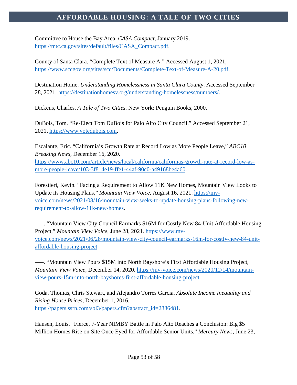Committee to House the Bay Area. *CASA Compact*, January 2019. [https://mtc.ca.gov/sites/default/files/CASA\\_Compact.pdf.](https://mtc.ca.gov/sites/default/files/CASA_Compact.pdf)

County of Santa Clara. "Complete Text of Measure A." Accessed August 1, 2021, [https://www.sccgov.org/sites/scc/Documents/Complete-Text-of-Measure-A-20.pdf.](https://www.sccgov.org/sites/scc/Documents/Complete-Text-of-Measure-A-20.pdf)

Destination Home. *Understanding Homelessness in Santa Clara County*. Accessed September 28, 2021, [https://destinationhomesv.org/understanding-homelessness/numbers/.](https://destinationhomesv.org/understanding-homelessness/numbers/)

Dickens, Charles. *A Tale of Two Cities*. New York: Penguin Books, 2000.

DuBois, Tom. "Re-Elect Tom DuBois for Palo Alto City Council." Accessed September 21, 2021, [https://www.votedubois.com.](https://www.votedubois.com/)

Escalante, Eric. "California's Growth Rate at Record Low as More People Leave," *ABC10 Breaking News*, December 16, 2020. [https://www.abc10.com/article/news/local/california/californias-growth-rate-at-record-low-as](https://www.abc10.com/article/news/local/california/californias-growth-rate-at-record-low-as-more-people-leave/103-3f814e19-ffe1-44af-90c0-a49168be4a60)[more-people-leave/103-3f814e19-ffe1-44af-90c0-a49168be4a60.](https://www.abc10.com/article/news/local/california/californias-growth-rate-at-record-low-as-more-people-leave/103-3f814e19-ffe1-44af-90c0-a49168be4a60)

Forestieri, Kevin. "Facing a Requirement to Allow 11K New Homes, Mountain View Looks to Update its Housing Plans," *Mountain View Voice,* August 16, 2021. [https://mv](https://mv-voice.com/news/2021/08/16/mountain-view-seeks-to-update-housing-plans-following-new-requirement-to-allow-11k-new-homes)[voice.com/news/2021/08/16/mountain-view-seeks-to-update-housing-plans-following-new](https://mv-voice.com/news/2021/08/16/mountain-view-seeks-to-update-housing-plans-following-new-requirement-to-allow-11k-new-homes)[requirement-to-allow-11k-new-homes.](https://mv-voice.com/news/2021/08/16/mountain-view-seeks-to-update-housing-plans-following-new-requirement-to-allow-11k-new-homes)

–––. "Mountain View City Council Earmarks \$16M for Costly New 84-Unit Affordable Housing Project," *Mountain View Voice*, June 28, 2021. [https://www.mv](https://www.mv-voice.com/news/2021/06/28/mountain-view-city-council-earmarks-16m-for-costly-new-84-unit-affordable-housing-project)[voice.com/news/2021/06/28/mountain-view-city-council-earmarks-16m-for-costly-new-84-unit](https://www.mv-voice.com/news/2021/06/28/mountain-view-city-council-earmarks-16m-for-costly-new-84-unit-affordable-housing-project)[affordable-housing-project.](https://www.mv-voice.com/news/2021/06/28/mountain-view-city-council-earmarks-16m-for-costly-new-84-unit-affordable-housing-project)

–––. "Mountain View Pours \$15M into North Bayshore's First Affordable Housing Project, *Mountain View Voice,* December 14, 2020. [https://mv-voice.com/news/2020/12/14/mountain](https://mv-voice.com/news/2020/12/14/mountain-view-pours-15m-into-north-bayshores-first-affordable-housing-project)[view-pours-15m-into-north-bayshores-first-affordable-housing-project.](https://mv-voice.com/news/2020/12/14/mountain-view-pours-15m-into-north-bayshores-first-affordable-housing-project)

Goda, Thomas, Chris Stewart, and Alejandro Torres Garcia. *Absolute Income Inequality and Rising House Prices*, December 1, 2016. [https://papers.ssrn.com/sol3/papers.cfm?abstract\\_id=2886481.](https://papers.ssrn.com/sol3/papers.cfm?abstract_id=2886481)

Hansen, Louis. "Fierce, 7-Year NIMBY Battle in Palo Alto Reaches a Conclusion: Big \$5 Million Homes Rise on Site Once Eyed for Affordable Senior Units," *Mercury News*, June 23,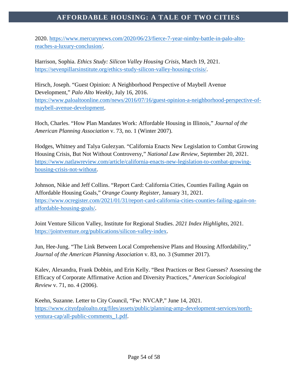2020. [https://www.mercurynews.com/2020/06/23/fierce-7-year-nimby-battle-in-palo-alto](https://www.mercurynews.com/2020/06/23/fierce-7-year-nimby-battle-in-palo-alto-reaches-a-luxury-conclusion/)[reaches-a-luxury-conclusion/.](https://www.mercurynews.com/2020/06/23/fierce-7-year-nimby-battle-in-palo-alto-reaches-a-luxury-conclusion/)

Harrison, Sophia. *Ethics Study: Silicon Valley Housing Crisis*, March 19, 2021. [https://sevenpillarsinstitute.org/ethics-study-silicon-valley-housing-crisis/.](https://sevenpillarsinstitute.org/ethics-study-silicon-valley-housing-crisis/)

Hirsch, Joseph. "Guest Opinion: A Neighborhood Perspective of Maybell Avenue Development," *Palo Alto Weekly,* July 16, 2016. [https://www.paloaltoonline.com/news/2016/07/16/guest-opinion-a-neighborhood-perspective-of](https://www.paloaltoonline.com/news/2016/07/16/guest-opinion-a-neighborhood-perspective-of-maybell-avenue-development)[maybell-avenue-development.](https://www.paloaltoonline.com/news/2016/07/16/guest-opinion-a-neighborhood-perspective-of-maybell-avenue-development)

Hoch, Charles. "How Plan Mandates Work: Affordable Housing in Illinois," *Journal of the American Planning Association* v. 73, no. 1 (Winter 2007).

Hodges, Whitney and Talya Gulezyan. "California Enacts New Legislation to Combat Growing Housing Crisis, But Not Without Controversy," *National Law Review,* September 20, 2021. [https://www.natlawreview.com/article/california-enacts-new-legislation-to-combat-growing](https://www.natlawreview.com/article/california-enacts-new-legislation-to-combat-growing-housing-crisis-not-without)[housing-crisis-not-without.](https://www.natlawreview.com/article/california-enacts-new-legislation-to-combat-growing-housing-crisis-not-without)

Johnson, Nikie and Jeff Collins. "Report Card: California Cities, Counties Failing Again on Affordable Housing Goals," *Orange County Register,* January 31, 2021. [https://www.ocregister.com/2021/01/31/report-card-california-cities-counties-failing-again-on](https://www.ocregister.com/2021/01/31/report-card-california-cities-counties-failing-again-on-affordable-housing-goals/)[affordable-housing-goals/.](https://www.ocregister.com/2021/01/31/report-card-california-cities-counties-failing-again-on-affordable-housing-goals/)

Joint Venture Silicon Valley, Institute for Regional Studies. *2021 Index Highlights*, 2021. [https://jointventure.org/publications/silicon-valley-index.](https://jointventure.org/publications/silicon-valley-index)

Jun, Hee-Jung. "The Link Between Local Comprehensive Plans and Housing Affordability," *Journal of the American Planning Association* v. 83, no. 3 (Summer 2017).

Kalev, Alexandra, Frank Dobbin, and Erin Kelly. "Best Practices or Best Guesses? Assessing the Efficacy of Corporate Affirmative Action and Diversity Practices," *American Sociological Review* v. 71, no. 4 (2006).

Keehn, Suzanne. Letter to City Council, "Fw: NVCAP," June 14, 2021. [https://www.cityofpaloalto.org/files/assets/public/planning-amp-development-services/north](https://www.cityofpaloalto.org/files/assets/public/planning-amp-development-services/north-ventura-cap/all-public-comments_1.pdf)[ventura-cap/all-public-comments\\_1.pdf.](https://www.cityofpaloalto.org/files/assets/public/planning-amp-development-services/north-ventura-cap/all-public-comments_1.pdf)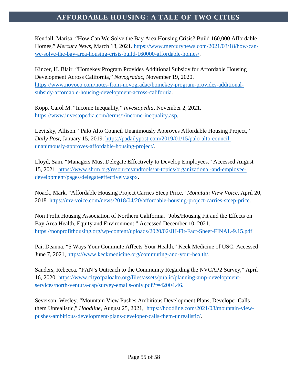Kendall, Marisa. "How Can We Solve the Bay Area Housing Crisis? Build 160,000 Affordable Homes," *Mercury News*, March 18, 2021. [https://www.mercurynews.com/2021/03/18/how-can](https://www.mercurynews.com/2021/03/18/how-can-we-solve-the-bay-area-housing-crisis-build-160000-affordable-homes/)[we-solve-the-bay-area-housing-crisis-build-160000-affordable-homes/.](https://www.mercurynews.com/2021/03/18/how-can-we-solve-the-bay-area-housing-crisis-build-160000-affordable-homes/)

Kincer, H. Blair. "Homekey Program Provides Additional Subsidy for Affordable Housing Development Across California," *Novogradac*, November 19, 2020. [https://www.novoco.com/notes-from-novogradac/homekey-program-provides-additional](https://www.novoco.com/notes-from-novogradac/homekey-program-provides-additional-subsidy-affordable-housing-development-across-california)[subsidy-affordable-housing-development-across-california.](https://www.novoco.com/notes-from-novogradac/homekey-program-provides-additional-subsidy-affordable-housing-development-across-california)

Kopp, Carol M. "Income Inequality," *Investopedia,* November 2, 2021. [https://www.investopedia.com/terms/i/income-inequality.asp.](https://www.investopedia.com/terms/i/income-inequality.asp)

Levitsky, Allison. "Palo Alto Council Unanimously Approves Affordable Housing Project," *Daily Post*, January 15, 2019. [https://padailypost.com/2019/01/15/palo-alto-council](https://padailypost.com/2019/01/15/palo-alto-council-unanimously-approves-affordable-housing-project/)[unanimously-approves-affordable-housing-project/.](https://padailypost.com/2019/01/15/palo-alto-council-unanimously-approves-affordable-housing-project/)

Lloyd, Sam. "Managers Must Delegate Effectively to Develop Employees." Accessed August 15, 2021, [https://www.shrm.org/resourcesandtools/hr-topics/organizational-and-employee](https://www.shrm.org/resourcesandtools/hr-topics/organizational-and-employee-development/pages/delegateeffectively.aspx)[development/pages/delegateeffectively.aspx.](https://www.shrm.org/resourcesandtools/hr-topics/organizational-and-employee-development/pages/delegateeffectively.aspx)

Noack, Mark. "Affordable Housing Project Carries Steep Price," *Mountain View Voice,* April 20, 2018. [https://mv-voice.com/news/2018/04/20/affordable-housing-project-carries-steep-price.](https://mv-voice.com/news/2018/04/20/affordable-housing-project-carries-steep-price)

Non Profit Housing Association of Northern California. "Jobs/Housing Fit and the Effects on Bay Area Health, Equity and Environment." Accessed December 10, 2021. <https://nonprofithousing.org/wp-content/uploads/2020/02/JH-Fit-Fact-Sheet-FINAL-9.15.pdf>

Pai, Deanna. "5 Ways Your Commute Affects Your Health," Keck Medicine of USC. Accessed June 7, 2021, [https://www.keckmedicine.org/commuting-and-your-health/.](https://www.keckmedicine.org/commuting-and-your-health/)

Sanders, Rebecca. "PAN's Outreach to the Community Regarding the NVCAP2 Survey," April 16, 2020. [https://www.cityofpaloalto.org/files/assets/public/planning-amp-development](https://www.cityofpaloalto.org/files/assets/public/planning-amp-development-services/north-ventura-cap/survey-emails-only.pdf?t=42004.46)[services/north-ventura-cap/survey-emails-only.pdf?t=42004.46.](https://www.cityofpaloalto.org/files/assets/public/planning-amp-development-services/north-ventura-cap/survey-emails-only.pdf?t=42004.46)

Severson, Wesley. "Mountain View Pushes Ambitious Development Plans, Developer Calls them Unrealistic," *Hoodline*, August 25, 2021, [https://hoodline.com/2021/08/mountain-view](https://hoodline.com/2021/08/mountain-view-pushes-ambitious-development-plans-developer-calls-them-unrealistic/)[pushes-ambitious-development-plans-developer-calls-them-unrealistic/.](https://hoodline.com/2021/08/mountain-view-pushes-ambitious-development-plans-developer-calls-them-unrealistic/)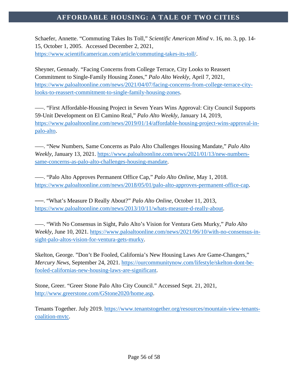Schaefer, Annette. "Commuting Takes Its Toll," *Scientific American Mind* v. 16, no. 3, pp. 14- 15, October 1, 2005. Accessed December 2, 2021, [https://www.scientificamerican.com/article/commuting-takes-its-toll/.](https://www.scientificamerican.com/article/commuting-takes-its-toll/)

Sheyner, Gennady. "Facing Concerns from College Terrace, City Looks to Reassert Commitment to Single-Family Housing Zones," *Palo Alto Weekly*, April 7, 2021, [https://www.paloaltoonline.com/news/2021/04/07/facing-concerns-from-college-terrace-city](https://www.paloaltoonline.com/news/2021/04/07/facing-concerns-from-college-terrace-city-looks-to-reassert-commitment-to-single-family-housing-zones)[looks-to-reassert-commitment-to-single-family-housing-zones.](https://www.paloaltoonline.com/news/2021/04/07/facing-concerns-from-college-terrace-city-looks-to-reassert-commitment-to-single-family-housing-zones)

–––. "First Affordable-Housing Project in Seven Years Wins Approval: City Council Supports 59-Unit Development on El Camino Real," *Palo Alto Weekly,* January 14, 2019, [https://www.paloaltoonline.com/news/2019/01/14/affordable-housing-project-wins-approval-in](https://www.paloaltoonline.com/news/2019/01/14/affordable-housing-project-wins-approval-in-palo-alto)[palo-alto.](https://www.paloaltoonline.com/news/2019/01/14/affordable-housing-project-wins-approval-in-palo-alto)

–––. "New Numbers, Same Concerns as Palo Alto Challenges Housing Mandate," *Palo Alto Weekly,* January 13, 2021. [https://www.paloaltoonline.com/news/2021/01/13/new-numbers](https://www.paloaltoonline.com/news/2021/01/13/new-numbers-same-concerns-as-palo-alto-challenges-housing-mandate)[same-concerns-as-palo-alto-challenges-housing-mandate.](https://www.paloaltoonline.com/news/2021/01/13/new-numbers-same-concerns-as-palo-alto-challenges-housing-mandate)

–––. "Palo Alto Approves Permanent Office Cap," *Palo Alto Online,* May 1, 2018. [https://www.paloaltoonline.com/news/2018/05/01/palo-alto-approves-permanent-office-cap.](https://www.paloaltoonline.com/news/2018/05/01/palo-alto-approves-permanent-office-cap)

–––. "What's Measure D Really About?" *Palo Alto Online*, October 11, 2013, [https://www.paloaltoonline.com/news/2013/10/11/whats-measure-d-really-about.](https://www.paloaltoonline.com/news/2013/10/11/whats-measure-d-really-about)

–––. "With No Consensus in Sight, Palo Alto's Vision for Ventura Gets Murky," *Palo Alto Weekly*, June 10, 2021. [https://www.paloaltoonline.com/news/2021/06/10/with-no-consensus-in](https://www.paloaltoonline.com/news/2021/06/10/with-no-consensus-in-sight-palo-altos-vision-for-ventura-gets-murky)[sight-palo-altos-vision-for-ventura-gets-murky.](https://www.paloaltoonline.com/news/2021/06/10/with-no-consensus-in-sight-palo-altos-vision-for-ventura-gets-murky)

Skelton, George. "Don't Be Fooled, California's New Housing Laws Are Game-Changers," *Mercury News*, September 24, 2021. [https://ourcommunitynow.com/lifestyle/skelton-dont-be](https://ourcommunitynow.com/lifestyle/skelton-dont-be-fooled-californias-new-housing-laws-are-significant)[fooled-californias-new-housing-laws-are-significant.](https://ourcommunitynow.com/lifestyle/skelton-dont-be-fooled-californias-new-housing-laws-are-significant)

Stone, Greer. "Greer Stone Palo Alto City Council." Accessed Sept. 21, 2021, [http://www.greerstone.com/GStone2020/home.asp.](http://www.greerstone.com/GStone2020/home.asp)

Tenants Together. July 2019. [https://www.tenantstogether.org/resources/mountain-view-tenants](https://www.tenantstogether.org/resources/mountain-view-tenants-coalition-mvtc)[coalition-mvtc.](https://www.tenantstogether.org/resources/mountain-view-tenants-coalition-mvtc)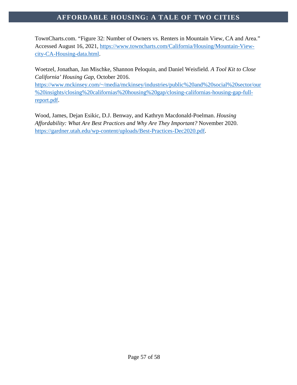TownCharts.com. "Figure 32: Number of Owners vs. Renters in Mountain View, CA and Area." Accessed August 16, 2021, [https://www.towncharts.com/California/Housing/Mountain-View](https://www.towncharts.com/California/Housing/Mountain-View-city-CA-Housing-data.html)[city-CA-Housing-data.html.](https://www.towncharts.com/California/Housing/Mountain-View-city-CA-Housing-data.html)

Woetzel, Jonathan, Jan Mischke, Shannon Peloquin, and Daniel Weisfield. *A Tool Kit to Close California' Housing Gap*, October 2016.

[https://www.mckinsey.com/~/media/mckinsey/industries/public%20and%20social%20sector/our](https://www.mckinsey.com/%7E/media/mckinsey/industries/public%20and%20social%20sector/our%20insights/closing%20californias%20housing%20gap/closing-californias-housing-gap-full-report.pdf) [%20insights/closing%20californias%20housing%20gap/closing-californias-housing-gap-full](https://www.mckinsey.com/%7E/media/mckinsey/industries/public%20and%20social%20sector/our%20insights/closing%20californias%20housing%20gap/closing-californias-housing-gap-full-report.pdf)[report.pdf.](https://www.mckinsey.com/%7E/media/mckinsey/industries/public%20and%20social%20sector/our%20insights/closing%20californias%20housing%20gap/closing-californias-housing-gap-full-report.pdf)

Wood, James, Dejan Esikic, D.J. Benway, and Kathryn Macdonald-Poelman. *Housing Affordability: What Are Best Practices and Why Are They Important?* November 2020. [https://gardner.utah.edu/wp-content/uploads/Best-Practices-Dec2020.pdf.](https://gardner.utah.edu/wp-content/uploads/Best-Practices-Dec2020.pdf)